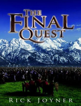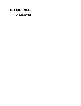# **The Final Quest**

By Rick Joyner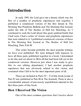# **Introduction**

In early 1995, the Lord gave me a dream, which was the first of a number of prophetic experiences tied together. I published a condensed version of the first dream in The Morning Star Prophetic Bulletin and The Morning Star Journal, under the title of The Hordes of Hell Are Marching. As I continued to seek the Lord about this great spiritual battle that I had seen, I had a series of visions and prophetic experiences that were related to it. I published condensed versions of these in The Morning Star Journal as The Hordes of Hell Are Marching, Parts II & III.

This series became probably the most popular writings we have ever published. We were deluged with requests to have all three parts published together in a book. I determined to do this and set about to fill in all that had been left out in the condensed versions. However, just when I was ready to give this to our editing department, I had another prophetic experience that was obviously related to this vision, and contained what I felt to be the most important parts of all.

These are included in Parts  $IV \sim V$  of this book (some of Part IV was published in Part III in The Journal). There is also a considerable amount of previously unpublished material in the first three parts of this book.

# **How I Received The Vision**

One of the most common questions that I receive about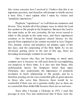this vision concerns how I received it. I believe that this is an important question, and therefore will attempt to briefly answer it here. First, I must explain what I mean by visions and "prophetic experiences."

Prophetic "experiences" as I call themare numerous and diverse. They include all of the primary ways in which the Lord has spoken to His people in the Scriptures. Because the Lord is the same today as He was yesterday, He has never ceased to relate to His people in the same ways, and these experiences continue to be found throughout church history. As the apostle Peter explained in his sermon recorded in Acts Chapter Two, dreams, visions and prophecy are primary signs of the last days, and the outpouring of the Holy Spirit. As we are obviously getting closer to the end of this age, these are becoming increasingly common in our time.

One reason why they are becoming so much more common now is because we will need them for accomplishing our purposes in these times. It is also true that Satan, who unfortunately knows the Scriptures better than many Christians, also understands the importance of prophetic revelation in God's relationship to His people, and he is therefore pouring out his own counterfeit gifts in great measure to those who serve him. However, there would be no counterfeit if there was not a genuine reality, just as there are no counterfeit three dollar bills because there are no real ones.

Soon after I became a Christian in 1972, I read this passage in Acts Two and understood that if these were the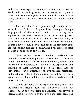end times it was important to understand these ways that the Lord would be speaking to us. I do not remember praying to have the experiences myself at first, but I did begin to have them, which gave me even more impetus for understanding them.

Since that time I have gone through periods of time when they would be very frequent. I have also gone through long periods of time when I would not have any such experiences. However, after each period of not having them they would return, and were either much more powerful, or much more frequent. Lately they have been both. Through all of this I have learned a great deal about the prophetic gifts, experiences, and prophetic people, which I will address in more detail in a book soon to be released.

There are many levels of prophetic revelation. The beginning levels include prophetic "impressions." These are genuine revelations. They can be extraordinarily specific and accurate when interpreted by those who are experienced and sensitive to them. However, it is on this level that our "revelations" can be affected by our own feelings, prejudices, and doctrines. I have therefore resolved not to use such expressions as "thus saith the Lord" with any revelations that come on this level.

Visions can come on the impression level, also. They are gentle and must be seen with "the eyes of our heart." These, too, can be very specific and accurate, especially when received and/or interpreted by those who are experienced. The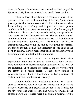more the "eyes of our hearts" are opened, as Paul prayed in Ephesians 1:18, the more powerful and useful these can be.

The next level of revelation is a conscious sense of the presence of the Lord, or the anointing of the Holy Spirit, which gives special illumination to our minds. This often comes when I am writing, or speaking, and it gives me much greater confidence in the importance or accuracy of what I amsaying. I believe that this was probably experienced by the apostles as they wrote the New Testament epistles. This will give us great confidence, but it is still a level where we can still be influenced by our prejudices, doctrines, *etc.* This is why I believe, in certain matters, Paul would say that he was giving his opinion, but that he thought he had [the agreement of l the Spirit of the Lord. In general, there is much more of a need for humility than dogmatismwhen we deal with the prophetic.

"Open visions" occur on a higher level than impressions; they tend to give us more clarity then we may have even when we feel the conscious presence of the Lord, or the anointing. Open visions are external, and are viewed with the clarity of a movie screen. Because they cannot be controlled by us I believe that there is far less possibility of mixture in revelations that come this way.

Another higher level prophetic experience is a trance, such as Peter had when he was first instructed to go to the house of Cornelius and preach the gospel to the Gentiles for the first time, and such as Paul had when he prayed in the temple in Acts 22. Trances were a common experience of the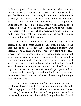biblical prophets. Trances are like dreaming when you are awake. Instead of just seeing a "screen" like in an open vision, you feel like you are in the movie, that you are actually there in a strange way. Trances can range from those that are rather mild, so that you are still conscience of your physical surroundings, and can even still interact with them, to those where you feel like you are literally in the place of your vision. This seems to be what Ezekiel experienced rather frequently, and what John probably experienced when he had the visions recorded in the book of Revelation.

The visions contained in this book all began with a dream. Some of it came under a very intense sense of the presence of the Lord, but the overwhelming majority was received in some level of a trance. Most of it came on the level where I was still conscious of my surroundings, and could even interact with them, such as answering the phone. When they were interrupted, or when things got so intense that I would have to get up and walk around, when I sat back down I would immediately be right back where I had left off. Once the experience became so intense that I actually got up and left the mountain cabin where I go to seek the Lord, and drove home. Over a week later I returned and almost immediately I was right back where I left off.

I have never known how to "turn on" such experiences, but I have almost always had the liberty to turn them off at will. Twice, large portions of this vision came at what I considered to be very inconvenient times, when I had gone to my cabin to get some important work done while facing a deadline. Two of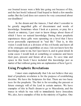our Journal issues were a little late going out because of this, and the last book I released I had hoped to finish a few months earlier. But the Lord does not seem to be very concerned about our deadlines!

In the dream and the trances, I had what I consider to be greatly magnified gifts of discernment and words of knowledge. Sometimes when I look at a person, or pray for a church or ministry, I just start to know things about them of which I have no natural knowledge. During these prophetic experiences these gifts were operating on a level that I have never personally experienced in "real life." That is, in this vision I could look at a division of the evil horde and know all of its strategies and capabilities at once. I do not know how the knowledge came to me, but I just knew it, and in great detail. In some cases I would look at something or someone and know their past, present and future all at once. To save time and space in this book I have included this knowledge just as matter of fact without going into an explanation of how I got it.

## **Using Prophetic Revelations**

I must state emphatically that I do not believe that any kind of prophetic revelation is for the purpose of establishing doctrine. We have the Scriptures for that. There are two basic uses for the prophetic. The first is for revealing the present or future strategic will of the Lord in certain matters. We have examples of this in Paul's dream to go to Macedonia, and the trance in which he was told to immediately leave Jerusalem. We, also, have examples of this in the ministry of Agabus. One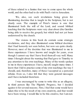of these related to a famine that was to come upon the whole world, and the other had to do with Paul's visit to Jerusalem.

We, also, see such revelations being given for illuminating doctrine that is taught in the Scripture, but is not clearly seen. The example of Peter's trance is one that illuminated both the will of the Lord, and sound biblical teaching that the Scriptures were very clear about (the Gentiles being able to receive the gospel), but which had not yet been understood by the church.

The visions in this book do contain some strategic revelations, and they also illuminated some biblical doctrines that I had honestly not seen before, but now see quite clearly. However, most of the doctrine that was illuminated to me in these experiences I have known and taught for years, even though I cannot say that I have lived them all very well. Many times I thought about the warning that Paul gave to Timothy to pay attention to his own teachings. Many of the words spoken to me in these experiences I have, myself, taught many times. I know that I fail to practice some of my own teachings the way I should, and, therefore, many of these I accepted as a personal rebuke. Even so, I also felt that they were general messages and I have included themhere.

I was encouraged by some to write this as an allegory, in third person like The Pilgrim's Progress, but I decided against it for several reasons. First, I feel that some would have taken this to be the result of my own creativity, and that would have been wrong. I would like to be this creative, but I am not.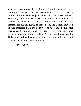Another reason was that I felt that I could be much more accurate if I related it just like I received it, and I did my best to convey these experiences just the way that they were received. However, I consider my memory of details to be one of my greatest weaknesses. At times I have questioned my own memory for certain details in this vision, and I think that you should therefore have the liberty to do the same. I think that this is right with any such messages. Only the Scriptures deserve to be considered infallible. As you read I pray that the Holy Spirit will lead you to the truth, and separate any chaff that may be present fromthe wheat.

Rick Joyner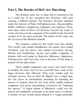## **Part I, The Hordes of Hell Are Marching**

The demonic army was so large that it stretched as far as I could see. It was separated into divisions, with each carrying a different banner. The foremost divisions marched under the banners of Pride, Self-righteousness, Respectability, Selfish Ambition, Unrighteous Judgment, and Jealousy. There were many more of these evil divisions beyond my scope of vision, but those in the vanguard of this terrible horde fromhell seemed to be the most powerful. The leader of this army was the Accuser of the Brethren himself.

The weapons carried by this horde were also named. The swords were named Intimidation; the spears were named Treachery; and the arrows were named Accusation, Gossip, Slander and Faultfinding. Scouts and smaller companies of demons with such names as Rejection, Bitterness, Impatience, Unforgiveness and Lust were sent in advance of this army to prepare for the main attack.

These smaller companies and scouts were much fewer in number, but they were no less powerful than some of the larger divisions that followed. They were smaller only for strategic reasons. Just as John the Baptist was a single man, but was given an extraordinary anointing for baptizing the masses to prepare them for the Lord, these smaller demonic companies were given extraordinary evil powers for "baptizing the masses." A single demon of Bitterness could sow his poison into multitudes of people, even entire races or cultures. A demon of Lust would attach himself to a single performer,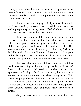movie, or even advertisement, and send what appeared to be bolts of electric slime that would hit and "desensitize" great masses of people. All of this was to prepare for the great horde of evil which followed.

This army was marching specifically against the church, but it was attacking everyone that it could. I knew that it was seeking to pre-empt a coming move of God which was destined to sweep masses of people into the church.

The primary strategy of this army was to cause division on every possible level of relationship—churches with each other, congregations with their pastors, husbands and wives, children and parents, and even children with each other. The scouts were sent to locate the openings in churches, families or individuals that Rejection, Bitterness, Lust, etc., could exploit and make larger. Then the following divisions would pour through the openings to completely overcome their victims.

The most shocking part of this vision was that this horde was not riding on horses, but primarily on Christians! Most of them were well-dressed, respectable, and had the appearance of being refined and educated, but there also seemed to be representatives from almost every walk of life. These people professed Christian truths in order to appease their consciences, but they lived their lives in agreement with the powers of darkness. As they agreed with those powers their assigned demons grew and more easily directed their actions.

Many of these believers were host to more than one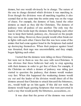demon, but one would obviously be in charge. The nature of the one in charge dictated which division it was marching in. Even though the divisions were all marching together, it also seemed that at the same time the entire army was on the verge of chaos. For example, the demons of hate, hated the other demons as much as they did the Christians. The demons of jealousy were all jealous of one another. The only way the leaders of this horde kept the demons from fighting each other was to keep their hatred, jealousy, etc., focused on the people they were riding. However, these people would often break out in fights with each other. I knew that this was how some of the armies that had come against Israel in the Scriptures had ended up destroying themselves. When their purpose against Israel was thwarted, their rage was uncontrollable, and they simply began fighting each other.

I noted that the demons were riding on these Christians, but were not in them as was the case with non-Christians. It was obvious that these believers had only to stop agreeing with their demons in order to get free of them. For example, if the Christian on which a demon of jealousy was riding just started to question the jealousy, that demon would weaken very fast. When this happened the weakening demon would cry out and the leader of the division would direct all of the demons around that Christian to attack him until the bitterness, etc., would build up on him again. If this did not work, the demons would begin quoting Scriptures that were perverted in such a way that would justify the bitterness, accusations, *etc.*

It was clear that the power of the demons was rooted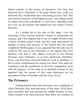almost entirely in the power of deception, but they had deceived these Christians to the point where they could use them and they would think they were being used by God. This was because banners of Self-righteousness were being carried by almost all of the individuals so that those marching could not even see the banners that marked the true nature of these divisions.

As I looked far to the rear of this army I saw the entourage of the Accuser himself. I began to understand his strategy, and I was amazed that it was so simple. He knew that a house divided cannot stand, and this army represented an attempt to bring such division to the church that she would completely fall fromgrace. It was apparent that the only way he could do this was to use Christians to war against their own brethren, and that is why almost everyone in the forward divisions were Christians, or at least professing Christians. Every step that these deceived believers took in obedience to the Accuser strengthened his power over them. This made his confidence and the confidence of all of his commanders grow with the progress of the army as it marched forward. It was apparent that the power of this army depended on the agreement of these Christians with the ways of evil.

#### **The Prisoners**

Trailing behind these first divisions was a multitude of other Christians who were prisoners of this army. All of these were wounded, and were guarded by smaller demons of Fear. There seemed to be more prisoners than there were demons in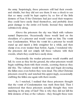the army. Surprisingly, these prisoners still had their swords and shields, but they did not use them. It was a shock to see that so many could be kept captive by so few of the little demons of Fear. If the Christians had just used their weapons they could have easily freed themselves, and probably done great damage to the entire evil horde. Instead they marched submissively along.

Above the prisoners the sky was black with vultures named Depression. Occasionally these would land on the shoulders of a prisoner and would vomit on him. The vomit was Condemnation. When the vomit hit a prisoner he would stand up and march a little straighter for a while, and then slump over, even weaker than before. Again, I wondered why the prisoners did not simply kill these vultures with their swords, which they could have easily done.

Occasionally the weaker prisoners would stumble and fall. As soon as they hit the ground, the other prisoners would begin stabbing them with their swords, scorning them as they did this. The vultures would then come and begin devouring the fallen ones even before they were dead. The other Christian prisoners stood by and watched this approvingly, occasionally stabbing the fallen one again with their swords.

As I watched, I realized that these prisoners thought that the vomit of Condemnation was truth from God. Then I understood that these prisoners actually thought they were marching in the army of God! This is why they did not kill the little demons of fear, or the vultures—they thought these were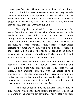messengers from God! The darkness from the cloud of vultures made it so hard for these prisoners to see that they naively accepted everything that happened to them as being from the Lord. They felt that those who stumbled were under God's judgment, which is why they attacked them the way they did they thought that they were helping God!

The only food provided for these prisoners was the vomit from the vultures. Those who refused to eat it simply weakened until they fell. Those who did eat it were strengthened for a time, but with the strength of the evil one. Then they would weaken unless they would drink the waters of bitterness that were constantly being offered to them. After drinking the bitter waters they would then begin to vomit on the others. When one of the prisoners began to do this, a demon that was waiting for a ride would climb up on him, and would ride himup to one of the front divisions.

Even worse than the vomit from the vultures was a repulsive slime that these demons were urinating and defecating upon the Christians they rode. This slime was the pride, selfish ambition, etc., that was the nature of their division. However, this slime made the Christians feel so much better than the condemnation that they easily believed that the demons were messengers of God, and they actually thought this slime was the anointing of the Holy Spirit.

I had been so repulsed by the evil army that I wanted to die. Then the voice of the Lord came to me saying, "This is the beginning of the enemy's last day army. This is Satan's ultimate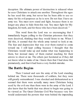deception. His ultimate power of destruction is released when he uses Christians to attack one another. Throughout the ages he has used this army, but never has he been able to use so many for his evil purposes as he is now. Do not fear. I have an army too. You must now stand and fight, because there is no longer any place to hide from this war. You must fight for My kingdom, for truth, and for those who have been deceived. "

This word from the Lord was so encouraging that I immediately began yelling to the Christian prisoners that they were deceived, thinking that they would listen to me. When I did this, it seemed that the whole army turned to look at me. The fear and depression that was over them started to come toward me. I still kept yelling because I thought that the Christians would wake up and realize what was happening to them, but instead many of them started reaching for their arrows to shoot at me. The others just hesitated as if they did not know what to make of me. I knew then that I had done this prematurely, and that it had been a very foolish mistake.

## **The Battle Begins**

Then I turned and saw the army of the Lord standing behind me. There were thousands of soldiers, but they were still greatly outnumbered. I was shocked and disheartened as it seemed that there were actually many more Christians being used by the evil one than there were in the army of the Lord. I also knew that the battle that was about to begin was going to be viewed as The Great Christian Civil War because very few would understand the powers that were behind the impending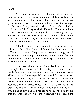conflict.

As I looked more closely at the army of the Lord the situation seemed even more discouraging. Only a small number were fully dressed in their armor. Many only had one or two pieces of their armor on; some did not have any at all. A large number were already wounded. Most of those who had all of their armor still had very small shields which I knew would not protect them from the onslaught that was coming. To my further surprise, the great majority of these soldiers were women and children. Very few of those who were fully armed were adequately trained to use their arms.

Behind this army there was a trailing mob similar to the prisoners who followed the evil horde, but these were very different in nature. They seemed overly happy, as if intoxicated. They were playing games, singing songs, feasting and roaming about from one little camp to the next. This reminded me of Woodstock.

I ran toward the army of the Lord to escape the onslaught that I knew would be coming at me from the evil horde. In every way it seemed that we were in for a most onesided slaughter. I was especially concerned for this mob that was trailing the army, so I tried to raise my voice above the clamor to warn them that a battle was about to begin. Only a few could even hear me. Those who did, gave me the "peace sign" and said they did not believe in war, and that the Lord would not let anything bad happen to them. I tried to explain that the Lord had given us armor because we needed it for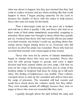what was about to happen, but they just retorted that they had come to a place of peace and joy where nothing like that could happen to them. I began praying earnestly for the Lord to increase the shields of those with the armor to help protect those who were not ready for the battle.

Then a messenger came up to me, gave me a trumpet and told me to blow it quickly. I did, and those who had on at least some of their armor immediately responded, snapping to attention. More armor was brought to them, which they quickly put on. I noticed that those who had wounds did not put armor over their wounds, but before I could say anything about this, enemy arrows began raining down on us. Everyone who did not have on all of his armor was wounded. Those who had not covered their wounds were struck again in that wound.

Those who were hit by arrows of slander immediately began to slander those who were not wounded. Those who were hit with gossip began to gossip, and soon a major division had been created within our own camp. I felt that we were on the verge of destroying ourselves just as some of the heathen armies in Scripture had done by rising up to kill each other. The feeling of helplessness was terrible. Then vultures swooped down to pick up the wounded and deliver them into the camp of prisoners. The wounded still had swords and could have struck down the vultures easily, but they didn't. They were actually carried off willingly because they were so angry at those who were not wounded like they were.

I quickly thought about the mob behind the army and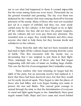ran to see what had happened to them. It seemed impossible but the scene among them was even worse. Thousands lay on the ground wounded and groaning. The sky over them was darkened by the vultures that were carrying themoff to become prisoners of the enemy. Many of those who were not wounded just sat in a stupor of unbelief, and they, too, were easily carried away by the vultures. A few had begun to try to fight off the vultures, but they did not have the proper weapons, and the vultures did not even pay them any attention. The wounded were so angry they would threaten and drive away anyone who tried to help them, but they became docile and submissive to the vultures.

Those from this mob who had not been wounded and had tried to fight off the vultures began running fromthe scene of battle. This first encounter with the enemy was so devastating that I was tempted to join them in their flight. Then, amazingly fast, some of those who had fled began reappearing with full suits of armor on, holding large shields. This was the first bit of encouragement that I remember seeing.

These warriors who were returning no longer had the mirth of the party, but an awesome resolve had replaced it. I knew that these had been deceived once, but that they would not be easily deceived again. They began to take the places of those who had fallen, and even began forming new ranks to protect the rear and flanks. This caused great courage to spread through the army so that the determination of everyone to stand and fight again began to rise. Immediately three great angels named Faith, Hope and Love came and stood behind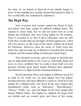the army. As we looked at them all of our shields began to grow. It was amazing how quickly despair had turned to faith. It was a solid faith, too, tempered by experience.

## **The High Way**

Now everyone had swords named the Word of God, and arrows that were named for different biblical truths. We wanted to shoot back, but we did not know how to avoid hitting the Christians that were being ridden by the demons. Then it occurred to us that if these Christians were hit with Truth they would wake up and fight off their oppressors. I fired off a few arrows, as did some of the others. Almost all of them hit Christians. However, when the arrow of Truth went into them, they did not wake up, or fall down wounded they became enraged, and the demon riding on themgrew much larger.

This shocked everyone, and we began to feel that this was an impossible battle to win. Even so, with Faith, Hope and Love we were confident that we could at least hold our own ground. Another great angel named Wisdom then appeared and directed us to fight fromthe mountain behind us.

On the mountain there were ledges at different levels for as high as we could see. At each higher level the ledges became narrower, and more difficult to stand on. Each level was named for a biblical truth. The lower levels were named after foundational truths such as "Salvation," "Sanctification," "Prayer," "Faith," etc., and the higher levels were named after deeper biblical truths. The higher we climbed, the larger both our shields and our swords grew, and fewer of the enemy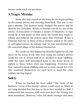arrows could reach our positions.

## **A Tragic Mistake**

Some who had stayed on the lower levels began picking up the enemy arrows and shooting them back. This was a very grave mistake. The demons easily dodged the arrows and let them hit the Christians. When a Christian was hit by one of the arrows of accusation or slander, a demon of bitterness or rage would fly in and perch on that arrow. He would then begin to urinate and defecate his poison upon that Christian. When a Christian had two or three of these demons added to the pride or self-righteousness he already had, he was transformed into the contorted image of the demons themselves.

We could see this happening fromthe higher levels, but those on the lower levels who were using the enemy's arrows could not see it. About half of us decided to keep climbing, while the other half descended back to the lower levels to explain to those below what was happening. Everyone was then warned to keep climbing and not to stop, except for a few who stationed themselves on each level to keep the other soldiers moving higher.

# **Safety**

When we reached the level called "The Unity of the Brethren," none of the enemy's arrows could reach us. Many in our camp decided that this was as far as they needed to climb. I understood this because with each new level the footing was more precarious. However, I also felt much stronger and more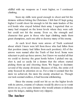skillful with my weapons as I went higher, so I continued climbing.

Soon my skills were good enough to shoot and hit the demons without hitting the Christians. I felt that if I kept going higher I could shoot far enough to hit the main leaders of the evil horde who stayed behind their army. I regretted that so many had stopped on the lower levels where they were safe but could not hit the enemy. Even so, the strength and character that grew in those who kept climbing made them great champions, each one able to destroy many of the enemy.

At each level there were arrows of Truth scattered about which I knew were left from those who had fallen from that position (many had fallen from each position). All of the arrows were named after the Truth of that level. Some were reluctant to pick up these arrows, but I knew we needed all that we could to destroy the great horde below. I picked one up, shot it, and so easily hit a demon that the others started picking them up and shooting them. We began to decimate several of the enemy divisions. Because of this, the entire evil army focused its attention on us. For a time it seemed that the more we achieved, the more the enemy attacked us. Though our task seemed endless, it had become exhilarating.

Since the enemy could not hit us on the higher levels with its arrows, swarms of vultures would fly above us to vomit down on us, or to carry demons who would urinate or defecate upon the ledges, making themvery slippery.

## **The Anchor**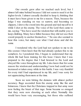Our swords grew after we reached each level, but I almost left mine behind because I did not seem to need it at the higher levels. I almost casually decided to keep it, thinking that it must have been given to me for a reason. Then, because the ledge I was standing on was so narrow, and becoming so slippery, I drove the sword into the ground and tied myself to it while I shot at the enemy. The voice of the Lord then came to me, saying: "You have used the wisdom that will enable you to keep climbing. Many have fallen because they did not use their sword properly to anchor themselves. " No one else seemed to hear this voice, but many saw what I had done and did the same.

I wondered why the Lord had not spoken to me to do this sooner. I then knew that He had already spoken this to me somehow. As I pondered this, I began to understand that my whole life had been training for this hour. I knew that I was prepared to the degree that I had listened to the Lord and obeyed His voice throughout my life. I also knew that for some reason the wisdom and understanding I now had could not be increased or taken away while in this battle. I was very thankful for every trial I had experienced in my life, and I was sorry for not appreciating themmore at the time.

Soon we were hitting the demons with almost perfect accuracy. Rage ascended from the enemy army like fire and brimstone. I knew that the Christians trapped in that army were now feeling the brunt of that rage. Some became so enraged that they were now shooting at each other. Normally this would have been very encouraging, but those who suffered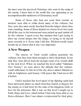the most were the deceived Christians who were in the camp of the enemy. I knew that to the world this was appearing as an incomprehensible meltdown of Christianity itself.

Some of those who had not used their swords as anchors were able to strike down many of the vultures, but they were also more easily knocked from the ledges where they were standing. Some of these landed on a lower level, but some fell all the way to the bottomand were picked up and carried off by the vultures. I spent every free moment that I got trying to drive my sword deeper into the ledge, or trying to tie myself more securely to it. Every time I did this, Wisdom would stand beside me so I knew that it was very important.

## **A New Weapon**

The arrows of Truth would seldom penetrate the vultures, but they hurt them enough to drive them back. Every time they were driven back far enough some of us would climb to the next level. When we reached the level called "Galatians Two Twenty," we were above the altitude that the vultures could withstand. At this level the sky above almost blinded us with its brightness and beauty. I felt peace like I had never felt it before.

Until I reached this level much of my fighting spirit had been motivated almost as much from fear, hatred or disgust for the enemy as it had been for the sake of the kingdom, truth, or love for the prisoners. But it was on this level I caught up to Faith, Hope and Love, which before I had only been able to see from a distance. Here I was almost overpowered by their glory.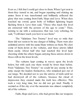Even so, I felt that I could get close to them. When I got next to them they turned to me, and began repairing and shining my armor. Soon it was transformed and brilliantly reflected the glory that was coming from Faith, Hope and Love. When they touched my sword, great bolts of brilliant lightning began flashing from it. Love then said, "Those who reach this level are entrusted with the powers of the age to come." Then, turning to me with a seriousness that was very sobering, he said, "I still must teach you how to use them."

The "Galatians Two Twenty" level was so wide that there did not seem to be any danger of falling. There were also unlimited arrows with the name Hope written on them. We shot some of them down at the vultures, and these arrows killed them easily. About half who had reached this level kept shooting while the others began carrying these arrows down to those still on the lower levels.

The vultures kept coming in waves upon the levels below, but with each one there would be fewer than before. From "Galatians Two Twenty" we could hit any enemy in the army except the leaders themselves, who remained just out of our range. We decided not to use the arrows of truth until we had destroyed all of the vultures, because the cloud of depression they created made the truth less effective. This took a very long time, but we did not get tired. Finally, it seemed as if the sky over the mountain was almost completely rid of the vultures.

Faith, Hope and Love, who had grown like our weapons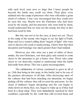with each level, were now so large that I knew people far beyond the battle area could see them. Their glory even radiated into the camp of prisoners who were still under a great cloud of vultures. I was very encouraged that they could now be seen this way. Maybe now the Christians who had been used by the enemy, and the prisoners who were held by them, would understand that we were not the enemy, but they in fact had been used by him.

But this was not to be the case, at least not yet. Those in the camp of the enemy who began to see the light of Faith, Hope and Love started calling them "angels of light" who were sent to deceive the weak or undiscerning. I knew then that their deception and bondage was much greater than I had realized.

However, any who were not a part of either of these armies, the non-Christians, saw their glory and started to come closer to the mountain to get a better view. Those who came closer to see them also started to understand what the battle had really been about. This was a great encouragement.

The exhilaration of victory continued to grow in all of us. I felt that being in this army, in this battle, had to be one of the greatest adventures of all time. After destroying most of the vultures that had been attacking our mountain, we began picking off the vultures that still covered the prisoners. As the cloud of darkness began dissipating and the sun began to shine down on them, they, too, began to wake up as if they had been in a deep sleep. They were immediately repulsed by their condition, especially by the vomit that still covered them, and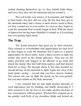started cleaning themselves up. As they beheld Faith, Hope, and Love, they also saw the mountain and ran toward it.

The evil horde sent arrows of Accusation and Slander at their backs, but they did not stop. By the time they got to the mountain many had a dozen or more arrows stuck in them, yet they seemed not to even notice. As soon as they began to scale the mountain their wounds began to heal. With the cloud of depression having been dispelled it seemed as if everything was now getting much easier.

## **The Trap**

The former prisoners had great joy in their salvation. They seemed so overwhelmed with appreciation for each level as they began to scale the mountain that it gave us a greater appreciation for those truths. Soon a fierce resolve to fight the enemy also arose in the former prisoners. They put on the armor provided and begged to be allowed to go back and attack the enemy who had held them captive, and had abused them for so long. We thought about it, but then decided we should all stay on the mountain to fight. Again the voice of the Lord spoke, saying:  $\sim$  second time you have chosen wisdom. You cannot win you try fight the enemy on his own ground, but you must remain on My Holy mountain. "

I was stunned that we had made another decision of such importance just by thinking and briefly discussing it. I then resolved to do my best to not make another decision of any consequence without prayer. Wisdom then stepped up to me quickly, took both of my shoulders firmly and looked me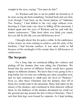straight in the eyes, saying: "You must do this!"

As Wisdom said this to me he pulled me forward as if he were saving me from something. I looked back and saw that, even though I had been on the broad plateau of "Galatians Two Twenty," I had drifted to the very edge without even knowing it. I had come very close to falling off the mountain. I looked again into the eyes of Wisdom, and he said with the utmost seriousness, "Take heed when you think you stand, lest you fall. In this life, you can fall fromany level. "

I thought about this for quite a while. In the exuberance of the victory we were starting to achieve, and the unity of the brethren, I had become careless. It was more noble to fall because of the onslaught of the enemy than to fall because of carelessness.

#### **The Serpents**

For a long time we continued killing the vultures and picking off the demons that were riding the Christians. We found that the arrows of different Truths would have greater impact on different demons. We knew that it was going to be a long battle, but we were not suffering any more casualties now, and we had continued to climb past the level of "Patience." Even so, after these Christians had the demons shot off of them, few would come to the mountain. Many had taken on the nature of the demons, and continued in their delusion without them. As the darkness of the demons dissipated we could see the ground moving around the feet of these Christians. Then I saw that their legs were bound by serpents. As I kept looking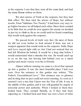at the serpents I saw that they were all the same kind, and had the name Shame written on them.

We shot arrows of Truth at the serpents, but they had little effect. We then tried the arrows of Hope, but without results. From "Galatians Two Twenty" it had been very easy to go higher because we all helped each other. Since there seemed to be little that we could do now against the enemy we decided to just try to climb as far as we could until we found something that would work against the serpents.

We passed levels of truth very fast. On most of them we did not even bother to look around if there was not a weapon apparent that would work on the serpents. Faith, Hope and Love stayed right with us, but I had not noticed that we had left Wisdom far behind. It would be a long time before I would understand what a mistake this was. He would catch up to us on the top, but leaving him behind cost us a much quicker and easier victory over the evil horde.

Almost without warning we came to a level that opened up into a garden. It was the most beautiful place I had ever seen. Over the entrance to this garden was written, "The Father's Unconditional Love." This entrance was so glorious and inviting that we just could not resist entering.As soon as I entered I saw a tree that I knew was the Tree of Life. It was in the middle of this garden, and it was still guarded by angels of awesome power and authority. When I looked at them they looked back. They seemed friendly, as if they had been expecting us. I looked back and there was now a host of other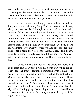warriors in the garden. This gave us all courage, and because of the angels' demeanor, we decided to pass them to get to the tree. One of the angels called out, "Those who make it to this level, who know the Father's love, can eat."

I did not realize how hungry I was. When I tasted the fruit, it was better than anything I had ever tasted, but it was, also, somehow familiar. It brought memories of sunshine, rain, beautiful fields, the sun setting over the ocean, but even more than that, of the people I loved. With every bite I loved everything and everyone more. Then my enemies started coming to mind, and I loved them, too. The feeling was soon greater than anything I had ever experienced, even the peace on "Galatians Two Twenty" when we had first reached that level. Then I heard the voice of the Lord, saying, "This is now your daisy bread. It shall never be withheld from you. You may eat as much and as often as you like. There is no end to My love. "

I looked up into the tree to see where the voice had come from, and I saw that it was filled with pure white eagles. They had the most beautiful, penetrating eyes I have ever seen. They were looking at me as if waiting for instructions. One of the angels said, "They will do your bidding. These eagles eat snakes." I said, "Go! Devour the shame that has bound our brothers." They opened their wings and a great wind came that lifted them into the air. These eagles filled the sky with a blinding glory. Even as high as we were, I could hear the sounds of terror from the enemy camp at the sight of the eagles ascending.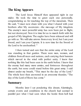## **The King Appears**

The Lord Jesus Himself then appeared right in our midst. He took the time to greet each one personally, congratulating us for reaching the top of the mountain. Then He said, "I must now share with you what I shared with your brothers after My ascension—the message of My kingdom. The enemy's most powerful army has now been put to flight, but not destroyed. Now it is time for us to march forth with the gospel of My kingdom. The eagles have been released and will go with us. We will take arrows from every level, but I am your Sword, and I am your Captain. It is now time for the Sword of the Lord to be unsheathed. "

I then turned and saw that the entire army of the Lord was standing in that garden. There were men, women, and children from all races and nations, each carrying their banners which moved in the wind with perfect unity. I knew that nothing like this had been seen in the earth before. I knew that the enemy had many more armies, and fortresses throughout the earth, but none could stand before this great army. I said almost under my breath, "This must be the day of the Lord." The whole host then answered in an awesome thunder, "The day of the Lord of Hosts has come."

#### **Summary**

Months later I sat pondering this dream. Alarmingly, certain events and conditions in the church had seemed to parallel just what I had seen when the horde from hell had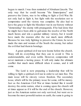begun to march. I was then reminded of Abraham Lincoln. The only way that he could become "the Emancipator," and preserve the Union, was to be willing to fight a Civil War. He not only had to fight it, but fight with the resolution not to compromise until the victory was complete. He also had to have the grace to fight the bloodiest war in our history without "demonizing" the enemy with propaganda. If he had done that he might have been able to galvanize the resolve of the North much faster, and win a quicker military victory, but it would have made the reunion after the war much more difficult. Because he was truly fighting to preserve the Union, he never made the men and women of the South the enemy, but rather the evil that had themin bondage.

A great spiritual civil war now looms before the church. Many will do everything that they can to avoid it. This is understandable, and even noble. However, compromise will never maintain a lasting peace. It will only make the ultimate conflict that much more difficult when it comes, and it will come.

The Lord is now preparing a leadership that will be willing to fight a spiritual civil war in order to set men free. The main issue will be slavery verses freedom. The secondary issue, which will be the primary issue for some, will be money. Just as the American Civil War at times looked like it would destroy the entire nation, what is coming upon the church will at times appear as if it will be the end of the church. However, just as the American nation not only survived, but went on to become the most powerful nation on earth, the same is going to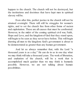happen to the church. The church will not be destroyed, but the institutions and doctrines that have kept men in spiritual slavery will be.

Even after this, perfect justice in the church will not be attained overnight. There will still be struggles for women's rights, and to set the church free from other forms of racism and exploitation. These are all causes that must be confronted. However, in the midst of the coming spiritual civil war, Faith, Hope and Love, and the kingdom of God that they stand upon, will begin to be seen as they never have before. This will begin drawing all men to the kingdom. God's government is about to be demonstrated as greater than any human government.

And let us always remember that, with the Lord "a thousand years is as a day." He can do in us in one day what we may think will take a thousand years. The work of liberation, and exaltation of the church, will be a work that is accomplished much quicker than we may think is humanly possible. However, we are not talking about human possibilities.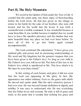## **Part II, The Holy Mountain**

We stood in the Garden of God under the Tree of Life. It seemed that the entire army was there, many of them kneeling before the Lord Jesus. He had just given us the charge to return to the battle for the sake of our brothers who were still bound, and for the world that He loved. It was both a wonderful and a terrible command. It was wonderful because it came from Him. It was terrible because it implied that we would have to leave His manifest presence, and the Garden that was more beautiful than any place we had ever been before. To leave all of this to go into battle again seemed incomprehensible.

The Lord continued His exhortation: "I have given you spiritual gifts and power, and an increasing understanding of My word and My kingdom, but the greatest weapon that you have been given is the Father's love. As long as you walk in My Father's love you will never fail. The fruit of this tree is the Father's love which is manifested in Me. This love which is in Me must be your daisy bread."

In this setting of such beauty and glory it did not seem that the Lord was appearing in His glory. In fact, His appearance was rather ordinary. Even so, the grace with which He moved and spoke made Him the most attractive person I had ever seen. He was beyond human definition in dignity and nobility. It was easy to understand why He was everything that the Father loves and esteems. He truly is full of grace and truth, to the point that it seemed that nothing but grace and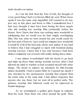truth should ever matter.

As I ate the fruit from the Tree of Life, the thought of every good thing I had ever known filled my soul. When Jesus spoke it was the same, only magnified. All I wanted to do was just stay in this place and listen to Him. I remembered how I had once thought it must have been boring for those angels who did nothing but worship Him continually before the throne. Now I knew that there was nothing more wonderful or exhilarating that we would ever do than simply worshipping Him. This was what we were created for, and would surely be the best part of heaven. I just could not imagine how wonderful it would be if all of the heavenly choirs were added. It was hard to believe that I had struggled so much with boredom during worship services. I knew that it was only because I had been almost completely out of touch with reality during those times.

I was almost overwhelmed with the desire to go back and make up those times during worship services when I had allowed my mind to wander, or had occupied myself with other things. The desire to express my adoration for Him became almost insatiable. I had to praise Him! As I opened my mouth I was shocked by the spontaneous worship that erupted from the entire army at the same time. I had almost forgotten that anyone else was there, but we were all in perfect unity. The glorious worship that followed could not be expressed in human language.

As we worshipped, a golden glow began to emanate from the Lord. Then there was silver around the gold. Then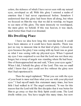colors, the richness of which I have never seen with my natural eyes, enveloped us all. With this glory I entered a realm of emotion that I had never experienced before. Somehow I understood that this glory had been there all along, but when we focused on Him the way that we did in worship, we began to see more of His glory. The more intensely we worshipped, the more glory we beheld. If this was heaven, it was much, much better than I had ever dreamed.

## **His Dwelling Place**

I have no idea how long this worship lasted. It could have been minutes or it could have been months. There was just no way to measure time in that kind of glory. I closed my eyes because the glory I was seeing with my heart was as great as what I was seeing with my physical eyes. When I opened my eyes I was surprised to see that the Lord was not there any longer, but a troop of angels was standing where He had been. One of themapproached me and said, "Close your eyes again." When I did, I beheld the glory of the Lord. This was no small relief. I knew that I just could not live without the glory now that I had experienced it.

Then the angel explained, "What you see with the eyes of your heart is more real than what you see with your physical eyes." I had myself made this statement many times, but how little I had walked in it! The angel continued, "It was for this reason that the Lord told His first disciples that it was better for Him to go away so that the Holy Spirit could come. The Lord dwells within you. You have taught this many times, but now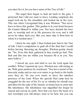you must live it, for you have eaten of the Tree of Life."

The angel then began to lead me back to the gate. I protested that I did not want to leave. Looking surprised, the angel took me by the shoulders and looked me in the eyes. This was when I recognized him; it was Wisdom. "You never have to leave this garden. This garden is in your heart because the Creator Himself is within you. You have desired the best part, to worship and sit in His presence for ever, and it will never be taken from you. But you must take it from here to where it is needed most."

I knew he was right. I then looked past him to the Tree of Life. I had a compulsion to grab all of the fruit that I could before leaving. Knowing my thoughts, Wisdom gently shook me. "No. Even this fruit, gathered in fear, would go bad. This fruit and this tree are within you because He is in you. You must believe. "

I closed my eyes and tried to see the Lord again but couldn't. When I opened my eyes, Wisdom was still staring at me. With great patience he continued, "You have tasted of the heavenly realm, and no one ever wants to go back to the battle once they do. No one ever wants to leave the manifest presence of the Lord. When the apostle Paul came here he struggled for the rest of his If e as to whether he should stay and labor for the sake of the church, or return here to enter into His inheritance. His inheritance was magnified the longer he stayed and served on earth. Now that you have the heart of a true worshiper you will always want to be here, but you can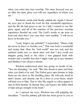when you enter into true worship. The more focused you are on Him, the more glory you will see, regardless of where you are. "

Wisdom's words had finally calmed me. Again I closed my eyes just to thank the Lord for this wonderful experience, and the life He had given to me. As I did, I started to see His glory again, and all of the emotion of the previous worship experience flooded my soul. The Lord's words to me were so loud and clear that I was sure they were audible; "I wilt never leave or forsake you. "

"Lord, forgive my unbelief," I responded. "Please help me never to leave or forsake you." This was both a wonderful and trying time. Here the "real world" was not real, and the spiritual realm was so much more real that I just could not imagine going back to the other. I was gripped both with wonder and a terrible fear that I might wake up at any moment and finding it was all just a dream.

Wisdom understood what was going on inside of me. "You are dreaming," he said. "But this dream is more real than what you think of as real. The Father gave men dreams to help them see the door to His dwelling place. He will only dwell in men's hearts, and dreams can be a door to your heart, which will lead you to Him. That is why His angels so often appear to men in their dreams. In dreams they can bypass the fallen mind of man and go straight to his heart."

As I opened my eyes, Wisdom was still gripping my shoulders. "I am the primary gift that has been given to you or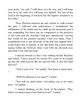your work, " he said. "I will show you the way, and I will keep you on it, but only love will keep you faithful. The fear of the Lord is the beginning of wisdom, but the highest wisdom is to love Him. "

Then Wisdom released me and started to walk toward the gate. I followed with ambivalence. I remembered the exhilaration of the battle and the climb up the mountain, and it was compelling, but there was no comparison to the presence of the Lord and the worship I had just experienced. Leaving this would be the greatest sacrifice I had ever made. Then I remembered how it was all inside of me and was amazed that I could forget this so quickly. It was like there was a great battle raging within me, between what I saw with my physical eyes and what I saw with my heart.

I moved forward so that I was walking beside Wisdom, and asked, "I have prayed for twenty-five years to be caught up into the third heaven like the apostle Paul. Is this the third heaven?"

"This is part of it, " he replied, "but there is much more.

"

"Will I be allowed to see more?" I asked.

"You will see much more. I am taking you to see more now, " he replied.

I started thinking of the book of Revelation. "Was John's revelation part of the third heaven?" I asked.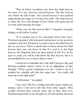"Part of John's revelation was from the third heaven, but most of it was from the second heaven. The first heaven was before the fall of man. The second heaven is the spiritual realm during the reign of evil upon the earth. The third heaven is when the love and domain of the Father will again prevail over the earth through the King. "

"What was the first heaven like?" I inquired, strangely feeling a cold chill as I asked.

"It is wisdom not to be concerned about that now," Wisdom responded with increased seriousness as my question seemed to jolt him. Wisdomis to seek to know the third heaven just as you have. There is much more to know about the third heaven than you can know in this If e, and it is the third heaven, the kingdom, that you must preach in this If e. In the ages to come you will be told about the first heaven, but it is not profitable for you to know about it now. "

I resolved to remember the cold chill I had just felt, and Wisdom nodded, which I knew to be an affirmation of that thought. "What a great companion you are," I had to say as I realized the valuable gift that this angel was. "you really will keep me on the right path."

"I will indeed, " he replied.

I was sure I felt love coming from this angel, which was unique, since I had never felt this from other angels. They usually showed their concern more out of duty than love. Wisdomresponded to my thoughts as if I had spoken themout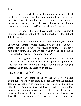loud.

"It is wisdom to love and I could not be wisdom if did not love you. It is also wisdom to behold the kindness and the severity of God. It is wisdom to love Him and to fear Him. You are in deception if you do otherwise. This is the next lesson that you must learn, " he said with unmistakable earnest.

"I do know that, and have taught it many times," I responded, feeling for the first time that maybe Wisdomdid not fully know me.

"I have been your companion for a very long time, and I know your teachings, "Wisdomreplied. "Now you are about to learn what some of your own teachings mean. As you have said many times, 'It is not by believing in your mind, but in your heart that results in righteousness..."

I apologized, feeling a bit ashamed at having questioned Wisdom. He graciously accepted my apology. It was then that I realized I had been questioning and challenging himmost of my life, and often to my injury.

### **The Other Half Of Love**

"There are times to adore the Lord, " Wisdom continued, "and there are times to honor Him with the greatest fear and respect, just as there is a time to plant, and a time to reap. It is wisdom to know the time for each. True wisdom knows the times and seasons of God. I brought you here because it was time to worship the Lord in the glory of His love. This is what you needed the most after such a battle. I am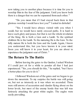now taking you to another place because it is time for you to worship Him in the fear of His judgment. Until you know both there is a danger that we can be separated fromeach other. "

"Do you mean that if I had stayed back there in that glorious worship I would have lost you?" I asked in disbelief.

"Yes. I would have always visited with you when I could, but we would have rarely crossed paths. It is hard to leave such glory and peace, but that is not the whole revelation of the King. He is both a Lion and a Lamb. To the spiritual children He is the Lamb. To the maturing He is the Lion. To the fully mature He is both the Lion and the Lamb. Again, I know you understand this, but you have known it in your mind. Soon you will know it in your heart, for you are about to experience the judgment seat of Christ. "

### **The Return To The Battle**

Before leaving the gates to the Garden, I asked Wisdom if I could just sit for a while to ponder all that I had just experienced. "Yes, you should do this, " he replied, "but I have a better place for you to do it."

I followed Wisdom out of the gates and we began to go down the mountain. To my surprise the battle was still going on, but not as intensely as it was when we ascended. There were still arrows of accusation and slander flying about on the lower levels, but most of the enemy horde that was left was furiously attacking the great white eagles. The eagles were easily prevailing.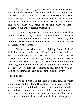We kept descending until we were almost at the bottom. Just above the levels of "Salvation" and "Sanctification" was the level "Thanksgiving and Praise." I remembered this level very well because one of the greatest attacks of the enemy came when I had first tried to reach it. Once we got here the rest of the climb was much easier, and when an arrow penetrated our armor, healing came much faster.

As soon as my enemies spotted me on this level (they could not see Wisdom), a shower of arrows began to rain down on me. I knocked them down with my shield so easily they quit shooting. Their arrows were now almost gone and they could not afford to waste them.

The soldiers who were still fighting from this level looked at me in astonishment with a deference that made me very uncomfortable. It was then that I first noticed that the glory of the Lord was emanating from my armor and shield. I told them to climb to the top of the mountain without stopping and they, too, would see the Lord. As soon as they agreed to go they saw Wisdom. They started to fall down to worship him, but he restrained them, and sent themon their way.

### **The Faithful**

I was filled with love for these soldiers, many of whom were women and children. Their armor was a mess, and they were covered in blood, but they had not given up. In fact, they were still cheerful and encouraged. I told them that they were deserving of more honor than I was, because they had borne the greatest burden of the battle, and had held their ground.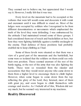They seemed not to believe me, but appreciated that I would say it. However, I really felt that it was true.

Every level on the mountain had to be occupied or the vultures that were left would come and desecrate it with vomit and excrement until it was difficult to stand on. Most of the ledges were occupied by soldiers who I recognized to be from different denominations or movements which emphasized the truth of the level they were defending. I was embarrassed by the attitude I had maintained toward some of these groups. I had considered them out of touch and backslidden at best, but here they were fighting faithfully against a terrible onslaught of the enemy. Their defense of these positions had probably enabled me to keep climbing as I had.

Some of these levels were situated so that there was a view of a good part of the mountain and the battlefield, but some were so isolated that the soldiers on them could see only their own position. These seemed unaware of the rest of the battle raging, or the rest of the army that was also fighting the battle. These were so wounded from the slander and accusations that they would resist anyone who came down to them from a higher level to encourage them to climb higher. However, when some began to come down from the top reflecting the glory of the Lord, they listened, most of them with great joy, and soon began to climb themselves with courage and resolve. As I beheld all of this, Wisdom did not say much, but he seemed very interested in my reactions.

# **Reality Discovered**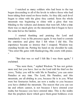I watched as many soldiers who had been to the top began descending to all of the levels to relieve those who had been taking their stand on those truths. As they did, each level began to shine with the glory they carried. Soon the whole mountain was beginning to shine with a glory that was blinding to the vultures and demons that were left. After a time there was so much glory on the mountain that it began to have the same feel as the Garden.

I started thanking and praising the Lord and immediately I was in His presence again. It was hard to contain the emotions and glory that I felt when I did this. The experience became so intense that I stopped. Wisdom was standing beside me. Putting his hand on my shoulder he said, "You enter His gates with thanksgiving, His courts with praise. "

"But that was so real! I felt like I was there again," I exclaimed.

"You were there, " replied Wisdom. "It has not gotten more real, but you have. Just as the Lord told the thief on the cross, 'Today you will be with Me in Paradise,' you can enter Paradise at any time. The Lord, His Paradise, and this mountain, are all abiding in you, because He is in you. What were but foretastes before, are now a reality to you because you have climbed the mountain. The reason that you can see me and others cannot, is not because I have entered your realm, but because you have entered mine. This is the reality that the prophets knew which gave them great boldness even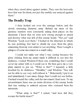when they stood alone against armies. They saw the heavenly host that was for them, not just the earthly one arrayed against them"

## **The Deadly Trap**

I then looked out over the carnage below, and the slowly retreating demonic army. Behind me more of the glorious warriors were constantly taking their places on the mountain. I knew that we were now strong enough to attack and destroy what was left of this enemy horde. "Not yet" said Wisdom. "Look over there." I looked in the direction in which he was pointing, but had to shield my eyes from the glory emanating frommy own armor to see anything. Then I caught a glimpse of some movement in a small valley.

I could not make out what I was seeing because the glory shining from my armor made it difficult to see into the darkness. I asked Wisdom if there was something that I could cover my armor with so I could see it. He then gave me a very plain mantel to put on. "What is this?" I inquired, a little insulted by its drabness. "Humility," said Wisdom. "You will not be able to see very well without it. " Reluctantly I put it on and immediately I saw many things that I could not see before. I looked toward the valley and the movement I had seen. To my astonishment there was an entire division of the enemy horde that was waiting to ambush anyone who ventured from the mountain.

"What army is that?" I asked, "and how did they escape the battle intact?"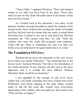"That is Pride, " explained Wisdom. "That is the hardest enemy to see after you have been in the glory. Those who refuse to put on this cloak will suffer much at the hands of that most devious enemy. "

As I looked back at the mountain I saw many of the glorious warriors crossing the plain to attack the remnant of the enemy horde. None of themwere wearing the cloaks of humility and they had not seen the enemy that was ready to attack them from their rear. I started to run out to stop them, but Wisdom restrained me. "You cannot stop this," he said. "Only the soldiers who wear this cloak will recognize your authority. Come with me. There is something else that you must see before you can help lead in the great battle that is to come."

# **The Foundation Of Glory**

Wisdom led me down the mountain to the very lowest level, which was named "Salvation." "You think that this is the lowest level," declared Wisdom, "but this is the foundation of the whole mountain. In any Journey, the first step is the most important, and it is usually the most difficult. Without 'Salvation' there would be no mountain."

I was appalled by the carnage on this level. Every soldier was very badly wounded, but none of them were dead. Multitudes were barely clinging to the edge. Many seemed ready to fall off, but none did. Angels were everywhere ministering to the soldiers with such great joy that I had to ask, "Why are they so happy?"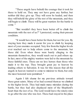"These angels have beheld the courage that it took for these to hold on. They may not have gone any further, but neither did they give up. They will soon be healed, and then they will behold the glory of the rest of the mountain, and they will begin to climb. These will be great warriors for the battle to come. "

"But wouldn't they have been better off to climb the mountain with the rest of us?" I protested, seeing their present condition.

"It would have been better for them, but not for you. By staying here they made it easier for you to climb by keeping most of your enemies occupied. Very few fromthe higher levels ever reached out to help others come to the mountain, but these did. Even when these were barely clinging to the mountain themselves, they would reach out to pull others up. In fact, most of the mighty warriors were led to the mountain by these faithful ones. These are no less heroes than those who made it to the top. They brought great joy to heaven by leading others to Salvation. It was for this reason that all the angels in heaven wanted to come to minister to them, but only the most honored were permitted. "

Again I felt shame for my previous attitude toward these great saints. Many of us had scorned themas we climbed to the higher levels. They had made many mistakes during the battle, but they had also displayed more of the Shepherd's heart than the rest of us. The Lord would leave the ninety-nine to go after the one who was lost. These had stayed in the place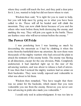where they could still reach the lost, and they paid a dear price for it. I, too, wanted to help but did not know where to start.

Wisdom then said. "It is right for you to want to help, but you wilt help most by going on to what you have been called to do. These will all be healed and will climb the mountain. They can now climb faster because of you and the others who went before them, both destroying the enemy, and marking the way. They will join you again in the battle. These are fearless ones who will never retreat before the enemy. "

## **The Power Of Pride**

I was pondering how I was learning as much by descending the mountain as I had by climbing it when the noise fromthe battlefield drew my attention. By now there were thousands of the mighty warriors who had crossed the plain to attack the remnant of the enemy horde. The enemy was fleeing in all directions, except for the one division, Pride. Completely undetected, it had marched right up to the rear of the advancing warriors, and was about to release a hail of arrows. It was then that I noticed the mighty warriors had no armor on their backsides. They were totally exposed and vulnerable to what was about to hit them.

Wisdom then remarked, "You have taught that there was no armor for the backside, which meant that you were vulnerable you ran from the enemy. However, you never saw how advancing in pride also made you vulnerable. "

I could only nod in acknowledgment. It was too late to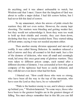do anything, and it was almost unbearable to watch, but Wisdom said that I must. I knew that the kingdom of God was about to suffer a major defeat. I had felt sorrow before, but I had never felt this kind of sorrow.

To my amazement, when the arrows of pride struck the warriors they did not even notice. However, the enemy kept shooting. The warriors were bleeding and getting weaker fast, but they would not acknowledge it. Soon they were too weak to hold up their shields and swords; they cast them down, declaring that they no longer needed them. They started taking off their armor, saying it was not needed anymore either.

Then another enemy division appeared and moved up swiftly. It was called Strong Delusion. Its members released a hail of arrows and they all seemed to hit their mark. Just a few of the demons of delusion, who were all small and seemingly weak, led away this once great army of glorious warriors. They were taken to different prison camps, each named after a different doctrine of demons. I was astounded at how this great company of the righteous had been so easily defeated, and they still did not even know what had hit them.

I blurted out. "How could those who were so strong, who have been all the way to the top of the mountain, who have seen the Lord as they have, be so vulnerable?"

"Pride is the hardest enemy to see, and it always sneaks up behind you, " Wisdomlamented. "In some ways, those who have been to the greatest heights are in the greatest danger of falling. You must always remember that in this life you can fall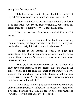at any time fromany level."

"Take heed when you think you stand, lest you fall," I replied. "How awesome these Scriptures seemto me now."

"When you think you are the least vulnerable to falling is in fact when you are the most vulnerable. Most men fall immediately after a great victory, " Wisdomlamented.

"How can we keep from being attacked like this?" I asked.

"Stay close to me, inquire of the Lord before making major decisions, and keep that mantle on. Then the enemy will not be able to easily blind side you as he did those. "

I looked at my mantle. It looked so plain and insignificant. I felt that it made me look more like a homeless person than a warrior. Wisdom responded as if I had been speaking out loud.

"The Lord is closer to the homeless than to kings. You only have true strength to the degree that you walk in the grace of God, and 'He gives His grace to the humble.' No evil weapon can penetrate this mantle, because nothing can overpower His grace. As long as you wear this mantle you are safe fromthis kind of attack. "

I then started to look up to see how many warriors were still on the mountain. I was shocked to see how few there were. I noticed, however, that they all had on the same mantle of humility. "How did that happen?" I inquired.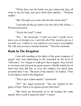"When they saw the battle you just witnessed, they all came to me for help, and gave them their mantles, " Wisdom replied.

"But I thought you were with me that whole time?"

"I amwith all who go forth to do the will of My Father, " Wisdomanswered.

"You're the Lord!" I cried.

"Yes, " He answered. "I told you that I would never leave you or forsake you. I am with all of My warriors just as I am with you. I will be to you whatever you need to accomplish My will, and you have needed wisdom. " Then He vanished.

#### **Rank In The Kingdom**

I was left standing in the midst of the great company of angels who were ministering to the wounded on the level of "Salvation." As I began to walk past these angels, they bowed to one knee and showed me great respect. I finally asked one of them why they did this, as even the smallest was much more powerful than I was. "Because of the mantle," he replied. "That is the highest rank in the kingdom."

"This is just a plain mantle," I protested.

"No!" the angel protested. "You are clothed in the grace of God. There is no greater power than that!"

"But there are thousands of us all wearing the same mantle. How could it represent rank?" I asked.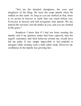"You are the dreaded champions, the sons and daughters of the King. He wore the same mantle when He walked on this earth. As long as you are clothed in that, there is no power in heaven or earth that can stand before you. Everyone in heaven and hell recognizes that mantle. We are indeed His servants, but He abides in you, and you are clothed in His grace."

Somehow I knew that if I had not been wearing the mantle, and if my glorious armor had been exposed, that the angel's statement, and their behavior toward me, would have fed my pride. It was simply impossible to feel prideful or arrogant while wearing such a drab, plain cloak. However, my confidence in the mantle was growing fast.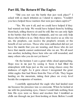### **Part III, The Return 0f The Eagles**

"Did you not see the battle that just took place?" I asked with as much irritation as I dared to express. "Couldn't you have helped those warriors that were just taken captive?"

"Yes. We saw it all, and we could have helped if they had wanted our help. We would have helped them by holding them back, telling them to sit and be still. But we can only fight in the battles that the Father commands, and we can only help those who believe in us. Only those who receive us as who we are, the prophets, can receive the prophet's reward, or the benefit of our services. Those who were ambushed did not yet have the mantle that you are wearing, and those who do not have that mantle cannot understand who we are. We all need one another, including these here who are still wounded, and many others who you do not yet know."

On the horizon I saw a great white cloud approaching. Hope rose in me just by seeing it. Soon it had filled the atmosphere with hope just as the sun rising chases away the darkness of night. As it grew closer I recognized the great white eagles that had flown from the Tree of Life. They began landing on the mountain, taking their place on every level beside the companies of warriors.

I carefully approached the eagle who had landed near me because his presence was so awesome. When he looked at me with his penetrating eyes, I knew I could hide nothing from him. His eyes were so fierce and resolute that I trembled as chills ran through me just from looking at them. Before I could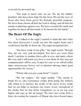even ask, he answered me.

"You want to know who we are. We are the hidden prophets who have been kept for this hour. We are the eyes of those who have been given the divinely powerful weapons. We have been shown all that the Lord is doing, and all that the enemy is planning against you. We have scoured the earth and together we know all that needs to be known for the battle."

#### **The Heart Of The Eagle**

As I talked to the eagle I started to think like him. After this short discussion I could see into the eagle's heart and I could know himlike he knew me. The eagle recognized this.

"You have some of our gifts," the eagle noted, "though they are not very well developed. You have not used them much. I am here to awaken these gifts in you, and many others like you, and I will teach you how to use them. In this way our communication will be sure. It must be sure or we will all suffer many unnecessary losses, not to mention missing many great opportunities for victory."

"Where did you just come from?" I asked.

"We eat snakes," the eagle replied. "The enemy is bread for us. Our sustenance comes from doing the Father's will, which is to destroy the works of the devil. Every snake that we eat helps to increase our vision. Every stronghold of the enemy that we tear down strengthens us so we can soar higher and stay in the air longer. We have just come from a feast, devouring the serpents of Shame who have bound many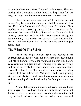of your brothers and sisters. They will be here soon. They are coming with the eagles we left behind to help them find the way, and to protect them from the enemy's counterattacks."

These eagles were very sure of themselves, but not cocky. They knew who they were, and what they were called to do. They also knew us and they knew the future. Their confidence was reassuring to me, but even more so to the wounded that were still lying all around us. Those who had recently been too weak to talk, were actually sitting up listening to my conversation with the eagle. They looked at him like lost children would look to their parents who had just found them.

### **The Wind Of The Spirit**

When the eagle looked upon the wounded his countenance changed as well. In place of the fierce resolution I had stood before, toward the wounded he was like a soft. compassionate old grandfather. The eagle opened his wings and began to gently flap them, stirring up a cool refreshing breeze that flowed over the wounded. It was unlike any other breeze I had ever felt before. With each breath I was gaining strength and clarity of mind. Soon the wounded were standing and worshipping God with a sincerity that brought tears to my eyes.

Again I felt a profound shame at having scorned those who stayed on this level. They had seemed so weak and foolish to those of us who were ascending the mountain, but they had endured much more than we had and they remained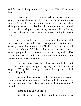faithful. God had kept them and they loved Him with a great love.

I looked up at the mountain. All of the eagles were gently flapping their wings. Everyone on the mountain was being refreshed by the breeze they were stirring up, and they all began to worship the Lord. At first there was some discord between the worship that was coming from the different levels, but after a time everyone on every level was singing in perfect harmony.

Never on earth had I heard anything that beautiful. I never wanted it to end. Soon I recognized it as the same worship that we had known in the Garden, but now it sounded even more rich and full. I knew that it was because we were worshipping in the very presence of our enemies, in the midst of such darkness and evil that surrounding/he mountain, that it seemed so much more beautiful.

I do not know how long this worship lasted, but eventually the eagles stopped flapping their wings and it stopped. "Why did you stop?" I asked the eagle that I had been talking with.

"Because they are now whole," he replied, indicating the wounded who were now all standing and who appeared to be in perfect condition. "True worship can heal any wound," he added.

"Please do it again," I begged.

"We will do this many times, but it is not for us to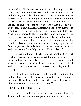decide when. The breeze that you felt was the Holy Spirit. He directs us; we do not direct Him. He has healed the wounded and has begun to bring about the unity that is required for the battles ahead. True worship also pours the precious oil upon the Head, Jesus, which then flows down over the entire body, making us one with Him and with each other. No one who comes into union with Himwill remain wounded or unclean. His blood is pure life, and it flows when we are joined to Him. When we are joined to Him we are also joined to the rest of the body, so that His blood flows through all. Is that not how you heal a wound to your body, by closing the wound so that the blood can flow to the wounded member to bring regeneration? When a part of His body is wounded, we must join in unity with that part until it is fully restored. We are all one."

In the euphoria still left from the worship, this brief teaching seemed almost esoteric, yet I knew that it was very basic. When the Holy Spirit moved every word seemed glorious, regardless of how elementary it was. I was so filled with love that I wanted to hug everyone, including the fierce old eagles.

Then, like a jolt, I remembered the mighty warriors who had just been captured. The eagle sensed this but did not say anything. He just watched me intently. Finally, I spoke up, "Can we recover those who were just lost?"

## **The Heart Of The King**

"Yes. It is right for you to feel what you do," the eagle finally said. "We are not complete, and our worship is not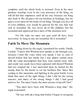complete, until the whole body is restored. Even in the most glorious worship, even in the very presence of the King, we will all feel this emptiness until all are one, because our King also feels it. We all grieve for our brothers in bondage, but we grieve even more for the heart of our King. Though you love all of your children, you would be grieved for the one that was sick or wounded. He, too, loves all of His children, but the wounded and oppressed have most of His attention now.

For His sake we must not quit until all have been recovered. As long as any are wounded, He is wounded."

### **Faith To Move The Mountain**

Sitting down by the eagle, I pondered his words. Finally I asked, "I know that Wisdom now speaks to me through you, because I hear His voice when you speak. I was so sure of myself before that last battle, but I was almost carried away with the same presumption that they were carried away with, and could very easily have been captured with them if Wisdom had not stopped me. I was motivated more by hatred for the enemy than by the desire to set my brothers free. Since first coming to this mountain, and fighting in the great battle, I now think that most of the right things I did, I did for the wrong reasons, and many of the wrong things I did, I had good motives for. The more I learn, the more unsure of myself I feel."

"You must have been with Wisdom a long time," the eagle responded.

"He was with me a long time before I began to recognize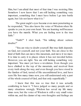Him, but I am afraid that most of that time I was resisting Him. Somehow I now know that I am still lacking something very important, something that I must have before I go into battle again, but I do not know what it is."

The great eagle's eyes became even more penetrating as he responded, "You also know the voice of Wisdom when He speaks to you in your own heart. You are learning well because you have the mantle. What you are feeling now is the true faith."

"Faith?" I shot back. "I'm talking about serious doubts!"

"You are wise to doubt yourself. But true faith depends on God, not yourself, and not your faith. You are close to the kind of faith that can move this mountain, and move it we must. It is time to carry it to places where it has not traveled before. However, you are right. You are still lacking something very important. You must yet have a revelation. Even though you have climbed to the top of the mountain, and received from every truth along the way, and even though you have stood in the Garden of God, tasted of His unconditional love, and have seen His Son many times now, you still understand only a part of the whole counsel of God, and that only superficially."

I knew that this was so true that it was actually comforting to hear it. "I have judged so many people and so many situations wrongly. Wisdom has saved my life many times now, but the voice of Wisdom is still a very small voice within me, and the clamor of my own thoughts and feelings are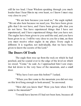still far too loud. I hear Wisdom speaking through you much louder than I hear Him in my own heart, so I know I must stay very close to you."

"We are here because you need us," the eagle replied. "We are also here because we need you. You have been given gifts that I do not have, and I have been given gifts that you do not have. You have experienced things that I have not experienced, and I have experienced things that you have not. The eagles have been given to you until the end, and you have been given to us. I will be very close to you for a time, an then you must receive other eagles in my place. Every eagle is different. It is together, not individually, that we have been given to know the secrets of the Lord."

### **The Doors Of Truth**

The eagle then rose up from the rock on which he had perched, and he soared over to the edge of the level on which we stood. "Come," he said. As I approached him I saw steps that led down to the very base of the mountain, and a small door.

"Why have I not seen this before?" I asked.

"When you first came to the mountain you did not stay on this level long enough to look around," he answered.

"How did you know that? Were you here when I first came to the mountain?"

"I would have known if I had not been here, because all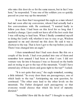who miss this door do so for the same reason, but in fact I was here," he responded. "I was one of the soldiers you so quickly passed on your way up the mountain."

It was then that I recognized the eagle as a man whom I had met soon after my conversion, whom I had actually had a few conversations with. He continued, "I wanted badly to follow you then. I had been on this level for so long that I needed a change. I just could not leave all of the lost souls that I was still trying to lead here. When I finally committed myself to doing the Lord's will, whether it was to stay or go, Wisdom appeared to me and showed me this door. He said it was a shortcut to the top. That is how I got to the top before you did. There I was changed into an eagle."

I then remembered that I had seen doors like this on a couple of the levels. I had even peeked into one of them and remember how amazed I had been at what I saw. I did not venture very far into it because I was so focused on the battle and on trying to get to the top of the mountain. "Could I have entered any of those doors and gone right to the top?" I asked.

"It is not quite that easy," the eagle remarked, seeming a little irritated. "In every door there are passageways, one of which leads to the top." Anticipating my next question, he continued. "The other ones lead to the other levels on the mountain. The Father designed each passageway so that everyone would choose that which his level of maturity dictated."

"Incredible! How did He do that?" I thought to myself,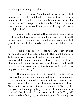but the eagle heard my thoughts.

"It was very simple," continued the eagle as if I had spoken my thoughts out loud. "Spiritual maturity is always determined by our willingness to sacrifice our own desires for the interests of the kingdom, or for the sake of others. The door that requires the most sacrifice to enter will always take us to the highest level."

I was trying to remember all that the eagle was saying to me. I knew that I must enter the door before me, and that would be wise for me to learn all that I could from someone who had preceded me and had obviously chosen the correct door to the top.

"I did not go directly to the top, and I haven't met anyone who has," the eagle continued. "But I went there much faster than most because I had learned so much about selfsacrifice while fighting here on the level of Salvation. I have shown you this door because you wear the mantle and would have found it anyway, but the time is short and I am here to help you mature quickly."

"There are doors on every level, and every one leads to treasures that are beyond your comprehension," he continued. "They cannot be acquired physically, but every treasure that you hold in your hands you will be able to carry in your heart. Your heart is meant to be the treasure house of God. By the time you reach the top again, your heart will contain treasures more valuable than all of the treasures of the earth. They will never be taken from you, but they are yours for eternity. Go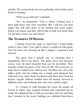quickly. The stormclouds are now gathering, and another great battle is looming."

"Will you go with me?" I pleaded.

"No," he responded. "This is where I belong now. I must help these who were wounded. But I will see you here again. You will meet many of my brother and sister eagles before you return, and they will be able to help you better than I at the place where you meet them."

#### **The Treasures Of Heaven**

I already loved the eagle so much that I could hardly stand to leave him. I was glad to know I would see him again. Now the door was drawing me like a magnet. I opened it and entered.

The glory that I beheld was so stunning that I immediately fell to my knees. The gold, silver and precious stones were far more beautiful than can be described. They actually rivaled the glory of the Tree of Life. The room was so large that it seemed to be without end. The floor was silver, the pillars, gold, and the ceiling was a single pure diamond that reflected every color I had ever known and many that I had not known. Angels without number were all around, dressed in different robes and uniforms that were of no earthly origin.

As I began to walk through the room, the angels all bowed in salute. One stepped forward and welcomed me by name. He explained that I could go anywhere and see anything that I wanted in the room. Nothing was withheld from those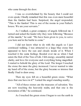who came through the door.

I was so overwhelmed by the beauty that I could not even speak. I finally remarked that this was even more beautiful than the Garden had been. Surprised, the angel responded, "This is the Garden! This is one of the rooms in your Father's house. We are your servants."

As I walked, a great company of angels followed me. I turned and asked the leader why they were following "Because of the mantle," he said. "We have been given to you, to serve you here and in the battle to come."

I did not know what to do with the angels so I just continued walking. I was attracted to a large blue stone that appeared to have the sun and clouds inside of it. When I touched it the same feelings flooded over me as when I had eaten the fruit of the Tree of Life. I felt energy, unearthly mental clarity, and love for everyone and everything being magnified. I started to behold the glory of the Lord. The longer I touched the stone the more the glory increased. I never wanted to take my hand off of the stone, but the glory became so intense that finally I had to draw away.

Then my eyes fell on a beautiful green stone. "What does that one have in it?" I asked the angel standing nearby.

"All of these stones are the treasures of salvation. You are now touching the heavenly realm, and that one is the restoration of life," he continued.

As I touched the green stone I began to see the earth in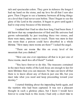rich and spectacular colors. They grew in richness the longer I had my hand on the stone, and my love for all that I saw also grew. Then I began to see a harmony between all living things on a level that I had never seen before. Then I began to see the glory of the Lord in the creation. It began to grow until again I had to step away because of the intensity.

I realized that I had no idea how long I had been there. I did know that my comprehension of God and His universe had grown substantially by just touching these two stones, and there were many, many more to touch. There was more in that one room than a person could have absorbed in a whole lifetime. "How many more rooms are there?" I asked the angel.

"There are rooms like this on every level of the mountain that you climbed."

"How can one ever experience all that is in just one of these rooms, much less all of them?" I asked.

"You have forever to do this. The treasures contained in the most basic truths of the Lord Jesus are enough to last for more lifetimes than you can measure. No man can know all that there is to know about any of them in just one life, but you must take what you need and keep proceeding toward your destiny."

I started thinking about the impending battle again, and the warriors who had been captured. It was not a pleasant thought in such a glorious place, but I knew I would have forever to come back to this room; I had only a short time to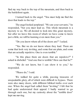find my way back to the top of the mountain, and then back to the battlefront again.

I turned back to the angel. "You must help me find the door that leads to the top."

The angel looked perplexed. "We are your servants," he responded, "but you must lead us. This whole mountain is a mystery to us. We all desired to look into this great mystery, but after we leave this room of which we have come to know just a little, we will be learning even more than you."

"Do you know where all of the doors are?" I asked.

"Yes. But we do not know where they lead. There are some that look very inviting, and some that are plain, and some that are actually repulsive. One is even terrible."

"In this place there are doors that are repulsive?" I asked in disbelief. "And one that is terrible? How can that be?"

"We do not know, but I can show it to you," he responded.

"Please do," I said.

We walked for quite a while, passing treasures of unspeakable glory, all of which were difficult to bypass. There were also many doors, with different biblical truths over each one. When the angel had called them "inviting" I felt that he had quite understated their appeal. I badly wanted to go through each one, but my curiosity about the "terrible door" kept me moving.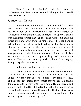Then I saw it. "Terrible" had also been an understatement. Fear gripped me until I thought that it would take my breath away.

### **Grace And Truth**

I turned away from that door and retreated fast. There was a beautiful red stone nearby, which I almost lunged at to lay my hands on it. Immediately I was in the Garden of Gethsemane beholding the Lord in prayer. The agony I beheld was even more terrible than the door I had just seen. Shocked, I jerked my hand away from the stone and fell to the floor in exhaustion. I wanted so badly to return to the blue or green stones, but I had to regather my energy and my sense of direction. The angels were quickly all around me serving me. I was given a drink that began to revive me. Soon I was feeling well enough to stand and begin walking back to the other stones. However, the recurring vision of the Lord praying finally compelled me to stop.

"What was that back there?" I asked.

"When you touch the stones we are able to see a little of what you see, and feel a little of what you feel," said the angel. "We know that all of these stones are great treasures, and all of the revelations they contain are priceless. We beheld for a moment the agony of the Lord before His crucifixion, and we felt briefly what He felt that terrible night. It is hard for us to understand how our God could ever suffer like that. It makes us appreciate much more what an honor it is to serve the men for whom He paid such a terrible price."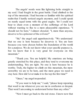The angels' words were like lightning bolts straight to my soul. I had fought in the great battle. I had climbed to the top of the mountain. I had become so familiar with the spiritual realm that I hardly noticed angels anymore, and I could speak on nearly equal terms with the great eagles. Yet I could not bear to share even a moment of the sufferings of the Lord without wanting to flee to a more pleasurable experience. "I should not be here," I almost shouted. "I, more than anyone, deserve to be a prisoner of the evil one!"

"Sir," the angel said apprehensively. "We understand that no one is here because he deserves it. You are here because you were chosen before the foundation of the world for a purpose. We do not know what your specific purpose is, but we know that it is very great for everyone on this mountain."

"Thank you. You are helpful. My emotions are being greatly stretched by this place, and they tend to overcome my understanding. You are right. No one is here because he is worthy. Truly, the higher we climb on this mountain, the more unworthy we are to be here, and the more grace we need to stay here. How did I ever make it to the top the first time?"

"Grace," my angel responded.

"If you want to help me," I said, "please keep repeating that word to me whenever you see me in confusion or despair. That word I amcoming to understand better than any other."

"Now I must go back to the red stone. I know now that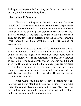is the greatest treasure in this room, and I must not leave until I amcarrying that treasure in my heart."

### **The Truth Of Grace**

The time that I spent at the red stone was the most painful that I have ever experienced. Many times I simply could not take anymore but had to withdraw my hand. Several times I went back to the blue or green stones to rejuvenate my soul before I returned. It was harder to return to the red stone each time, but my love and appreciation for the Lord was growing more through this than anything I had ever learned or experienced.

Finally, when the presence of the Father departed from Jesus on the cross, I could not stand it any longer. I quit. I could tell that the angels, who were also experiencing what I was to a degree, were in full agreement with me. The willpower to touch the stone again simply was no longer in me. I did not even feel like going back to the blue stone. I just laid prostrate on the floor. I was weeping over what the Lord had gone through. I wept also because I knew that I had deserted Him just like His disciples. I failed Him when He needed me the most, just like they did.

After what seemed like several days, I opened my eyes. Another eagle was standing beside me. In front of him were three stones, one blue, one green, and one red. "Eat them," he said. When I did, my whole being was renewed, and great joy and great soberness both flooded my soul.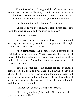When I stood up. I caught sight of the same three stones set into the handle of my sword, and then on each of my shoulders. "These are now yours forever," the eagle said. "They cannot be taken fromyou, and you cannot lose them."

"But I did not finish this last one," I protested.

"Christ alone will ever finish that test," he replied. "You have done well enough, and you must go on now."

"Where to?" I asked.

"You must decide, but with the time getting shorter I will suggest that you try to get to the top soon." The eagle then departed, obviously in a hurry.

I then remembered the doors. I started toward those that had been so appealing. When I reached the first one it simply did not appeal to me anymore. Then I went to another, and it felt the same. "Something seems to have changed," I remarked out loud.

"You have changed," the angels replied at once. I turned to look at them and was amazed at how much they had changed. They no longer had a naive look about them, but were now more regal and wise-looking. I knew they reflected what had also taken place in me, but I now felt uncomfortable just thinking about myself.

"I ask for your counsel," I said to the leader.

"Listen to your heart," he said. "That is where these great truths now abide."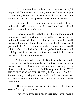"I have never been able to trust my own heart," I responded. "It is subject to so many conflicts. I am too subject to delusions, deceptions, and selfish ambitions. It is hard for me to even hear the Lord speaking to me above its clamor."

"Sir, with the red stone now in your heart, I do not believe that will continue to be the case," the leader offered with uncharacteristic confidence.

I leaned against the wall, thinking that the eagle was not here when I needed him the most. He had been this way before and would know which door to choose. But I knew he would not come back, and I knew that it was right that I choose. As I pondered, the "terrible door" was the only one that I could think of. Out of curiosity I decided to go back and look at it. I had departed from it so fast the first time that T had not even noticed which truth it represented.

As I approached it I could feel the fear welling up inside of me, but not nearly as intensely the first time. Unlike the other doors, it was very dark around this one, and I had to get very close to read the truth over it. Mildly surprised, I read "THE JUDGMENT SEAT OF CHRIST. "Why is this truth so fearful?" I asked aloud, knowing that the angels would not answer me. As I continued looking at it I knew that it was the one I should go through.

"There are many reasons that it is fearful," the familiar voice of the eagle responded.

"I'mvery glad you came back," I replied. "Have I made a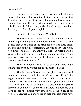poor choice?"

"No! You have chosen well. This door will take you back to the top of the mountain faster than any other. It is fearful because the greatest fear in the creation has its source through that door. The greatest wisdom that men can know in this life, or in the life to come, is also found through that door. Even so, very few will go through it."

"But why is this door so dark?" I asked.

"The light of these doors reflects the attention that the church is presently giving to the truths behind them. The truth behind that door is one of the most neglected of these times, but it is one of the most important. You will understand when you enter. The greatest authority that men can receive will be entrusted only to those who will go through this door. When you see Christ Jesus sitting on this throne, you, too, will be prepared to sit with Himon it."

"Then this door would not be so dark and foreboding if we had just given more attention to this truth?" I asked.

"That is correct. If men knew the glory that is revealed behind that door, it would be one of the most brilliant," the eagle lamented. "However, it is still a difficult door to pass through. I was told to return and encourage you because soon you will need it. You will see a greater glory, but also a greater terror than you have ever known. But know that because you have chosen the difficult way now, it will be much easier for you later. Because you are willing to face this hard truth now,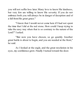you will not suffer loss later. Many love to know His kindness, but very few are willing to know His severity. If you do not embrace both you will always be in danger of deception and of a fall from His great grace."

"I know that I would never come here if I had not spent the time that I did at the red stone. How could I keep trying to take the easy way when that is so contrary to the nature of the Lord?" I asked.

"But now you have chosen, so go quickly. Another great battle is about to begin, and you are needed at the front," he said.

As I looked at the eagle, and the great resolution in his eyes, my confidence grew. Finally I turned toward the door.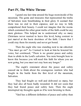## **Part IV, The White Throne**

I gazed one last time around the huge roominside of the mountain. The gems and treasures that represented the truths of Salvation were breathtaking in their glory. It seemed that there was no end to their expanse, and no way to fully comprehend their beauty. I could not imagine that the rooms which contained the other great truths of the faith could be any more glorious. This helped me to understand why so many Christians never wanted to leave this level, being content to just marvel at the basic doctrines of the faith. I knew that I could stay there for eternity and never get bored.

Then the eagle who was standing next to me exhorted: "You must go on!" As I turned to look at him he lowered his voice, but continued, "There is no greater peace and safety than to abide in the Lord's salvation. You were brought here to know this because you will need this faith for where you are now going, but you must not stay here any longer."

The eagle's statement about the peace and safety caused me to think about the courageous warriors who had fought in the battle from the first level of the mountain, Salvation.

They had fought so well and delivered so many, but they had also all been badly wounded. It did not seem that they had found peace and safety here. Then the eagle interrupted my thoughts again as if he were listening to them.

"God has a different definition of peace and safety than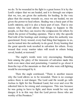we do. To be wounded in the fight is a great honor. It is by the Lord's stripes that we are healed, and it is through our stripes that we, too, are given the authority for healing. In the very place that the enemy wounds us, once we are healed, we are given the power to heal others. Healing was a basic part of the Lord's ministry, and it is also a basic part of ours. That is one reason why the Lord allows bad things to happen to His people, so that they can receive the compassion for others by which the power of healing operates. That is why the apostle Paul told of his beatings and stonings when his authority was questioned. Every wound, every bad thing that happens to us, can be turned into the authority to do good. Every beating that the great apostle took resulted in salvation for others. Every wound that every warrior takes will result in others being saved, healed, or restored."

The eagle's words were very encouraging. Standing here among the glory of the treasures of salvation made this truth even more clear and penetrating. I wanted to go shout it from the top of the mountain so that all who were still fighting would be encouraged by it.

Then the eagle continued, "There is another reason why the Lord allows us to be wounded. There is no courage unless there is real danger. The Lord said He would go with Joshua to fight for the Promised Land, but over and over He exhorted him to be strong and courageous. This was because he was going to have to fight, and there would be very real danger. It is in this way that the Lord proves those who are worthy of the Promises."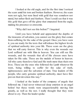I looked at the old eagle, and for the first time I noticed the scars amid his torn and broken feathers. However, the scars were not ugly, but were lined with gold that was somehow not metal, but rather flesh and feathers. Then I could see that it was this gold that gave off the glory that emanated from the eagle, making his presence so awesome.

"Why did I not see this before?" I inquired.

Until you have beheld and appreciated the depths of the treasures of salvation, you cannot see the glory that comes from suffering for the sake of the gospel. Once you have seen it, you are ready for the tests that will release the highest levels of spiritual authority into your life. These scars are the glory that we will carry forever. This is why even the wounds our Lord suffered are with Him in heaven. You can still see His wounds, and the wounds that all of His chosen ones have taken for His sake. These are the medals of honor in heaven. All who carry them love God and His truth more than their own lives. These are the ones who followed the Lamb wherever He went, being willing to suffer for the sake of truth, righteousness and the salvation of men. True leaders of His people, who carry genuine spiritual authority, must have first proven their devotion this way."

I looked at the leader of the company of angels that followed me. I had never witnessed deep emotion in an angel before' but these words were unquestionably moving him greatly, as well as the rest. I really thought that they were about to cry. Then the leader spoke: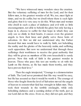"We have witnessed many wonders since the creation. But the voluntary suffering of men for the Lord, and for their fellow men, is the greatest wonder of all. We, too, must fight at times, and we do suffer, but we dwell where there is such light and glory that it is very easy to do this. When men and women who dwell in such a place of darkness and evil with so little encouragement, not able to behold the glory but only having a hope in it, choose to suffer for that hope in which they can only see so dimly in their hearts, it causes even the greatest angels to bow their knee and gladly serve these heirs of salvation. At first we did not understand why the Father decreed that men would have to walk by faith, not beholding the reality and the glories of the heavenly realm, and suffering such opposition. But now we understand that through these sufferings their worthiness to receive the great authority that they will be given as members of His own household is surely proven. Now this walk of faith is the greatest wonder in heaven. Those who pass this test are worthy to sit with the Lamb on His throne, as He has made them worthy, and they have proven their love."

Then the eagle interjected, "Courage is a demonstration of faith. The Lord never promised that His way would be easy, but He has assured us that it would be worth it. The courage of those who fought from the level of Salvation moved the angels of heaven to esteem what God has wrought in fallen men. They took their wounds in the terrible onslaught, while only beholding darkness and a seeming defeat of the truth, just as our Lord did on His cross. Even so, they did not quit, and they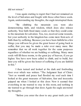did not retreat."

I was again starting to regret that I had not remained on the level of Salvation and fought with those other brave souls. Again, understanding my thoughts, the eagle interrupted them.

"By climbing the mountain you were also demonstrating faith, and wisdom, which does also release authority. Your faith freed many souls so that they could come to the mountain for salvation. You, too, received some wounds, but your authority in the kingdom has come more from acts of faith than by suffering. Because you have been faithful in a few things you will now be given the great honor of going back to suffer, that you may be made a ruler over many more. But remember that we all work together for the same purposes regardless of whether we are building or suffering. Many more souls will fill these rooms, to the great joy of heaven, if you go higher. You have now been called to climb, and to build, but later you will be given the honor of suffering if you are faithful in this."

I then turned and looked at the dark and foreboding door over which was written: "The Judgment Seat of Christ. "Just as warmth and peace had flooded my soul each time I looked at the great treasures of Salvation, fear and insecurity gripped me when I looked at this door. Now it seemed that everything in me wanted to stay in this room, and nothing in me wanted to go through that door. Again the eagle answered my thoughts.

"Before you enter the door to any great truth you will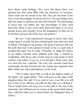have these same feelings. You even felt them when you entered into this room filled with the treasures of salvation. These fears are the result of the fall. They are the fruit of the Tree of the Knowledge of Good and Evil. The knowledge from that tree made us all insecure and self-centered. The knowledge of good and evil makes the true knowledge of God seem fearsome, when in fact every truth from God leads to an even greater peace and security. Even the judgments of God are to be desired, because all of His ways are perfect."

By now I had experienced enough to know that what seems right is usually the least fruitful path, and often the road to failure. Throughout my journey, the path of greatest risk was the path that lead to the greatest reward. Even so, each time it seemed that more was at stake. Therefore, to make the choice to go higher became more difficult each time. I started to sympathize with those who would stop at some point in their sojourn, and refuse to go on, even though I knew more than ever that this was a mistake. The only true security came from continually moving forward into the realms that required more faith, which was more dependence on the Lord.

"Yes, it takes more faith to walk in the higher realms of the Spirit," the eagle added. "The Lord gave us the map to His kingdom when He said, 'if you seek to save your life you will lose it, but if you will lose your life for My sake you will find it.' Those words alone can keep you on the path to the top of the mountain, and will lead you to victory in the great battle ahead. They will also help you to stand before the Judgment Seat of Christ<sup>"</sup>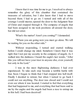I knew that it was time for me to go. I resolved to always remember the glory of this chamber that contained the treasures of salvation, but I also knew that I had to move beyond them. I had to go on. I turned and with all of the courage I could muster, opened the door to the Judgment Seat of Christ and stepped through it. The company of angels that had been assigned to me took positions all around the door, but did not enter.

'What's the matter? Aren't you coming?" I demanded.

"Where you are going now you must go alone. We will be waiting for you on the other side."

Without responding, I turned and started walking before I could change my mind. Somehow I knew that it was right that I not put my security in the company of angels. As I walked into the darkness I heard the eagle's last words, "After this you will not have your trust in anyone else, even yourself, but only in the Lord."

I was in the most frightening darkness I had ever experienced. To take each step became a terrible battle with fear. Soon I began to think that I had stepped into hell itself. Finally I decided to retreat, but when I turned to go back I could not see anything. The door was closed and I could not even see where it was located. I started to feel that everything that had happened to me, and everything that had been said to me by the eagles and the angels had been a ruse to entrap me in this hell. I had been deceived!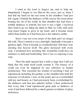I cried to the Lord to forgive me, and to help me. Immediately I began to see Him on the cross, just as when I had laid my hand on the red stone in the chamber I had just left.Again, I beheld the darkness of His soul as He stood alone bearing the sin of the world. In that chamber this had been a terrible darkness to behold, but now it was a light. I resolved that I had to go on, fixing my mind on Him. As I did, with each step peace began to grow in my heart, and it became easier rather than harder as it had been just a few minutes earlier.

Soon I was not even aware of the dark and I no longer felt cold. Then I started to see a dimlight. Gradually it became a glorious light. Then it became so wonderful that I felt that I was entering into heaven itself. The glory increased with every step. I wondered how anything this wonderful could have an entrance so dark and foreboding. Now I was so enjoying every step.

Then the path opened into a hall so large that I did not think that the earth itself could contain it. The beauty of it could not even be imagined by any reference to human architecture. This exceeded the wonder of anything I had yet experienced, including the garden, or the chamber that held the treasures of salvation. I was, at this point, just as overwhelmed with joy and beauty as I had previously been overwhelmed by the darkness and fear just minutes before. I then understood that every time I had experienced great pain or darkness of soul, it had been followed by a much greater revelation of glory and peace.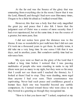At the far end was the Source of the glory that was emanating from everything else in the room. I knew that it was the Lord, Himself, and though I had now seen Him many times, I began to be a little bit afraid as I walked toward Him.

However, this fear was a holy fear that only magnified the great joy and peace that I also felt. I knew that the judgment seat of Christ was a source of more security than I had ever experienced, but at the same time, it was the source of a greater, but more pure, fear.

I did not notice how great the distance was to the throne. It was so wonderful to just walk here that I did not care if it took me a thousand years to get there. In earthly terms, it did take me a very long time. In one sense I felt that it was days, and in another, years. But somehow earthly time had no relevance here.

My eyes were so fixed on the glory of the Lord that I walked a long time before I noticed that I was passing multitudes of people who were standing in ranks to my left (there were just as many to my right, but they were so far away that I could not see them until I reached the throne). As I looked at them I had to stop. They were dazzling, more regal than anyone I had ever seen. Their countenance was captivating. Never had such peace and confidence graced a human face. Each one was beautiful beyond any earthly comparison. As I turned toward those who were close to me they bowed in a greeting as though they recognized me.

"How is it that you know me?" I asked, surprised at my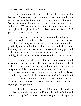own boldness to ask thema question.

"You are one of the saints fighting who fought in the last battle," a man close by responded. "Everyone here knows you, as well as all of those who are now fighting on the earth. We are the saints who have served the Lord in the generations before you. We are the great cloud of witnesses who have been given the right to behold the last battle. We know all of you, and we see all that you do."

To my surprise, I recognized someone I had known on earth. He had been a faithful believer, but I did not think he had ever done anything of significance. He was so unattractive physically on earth that it made him shy. Here he had the same features, but was somehow more handsome than any person I had known on earth. He stepped up to me with an assurance and dignity that I had never seen before in him, or in any man.

"Heaven is much greater than we could have dreamed while on earth," he began. "This room is but the threshold of realms of glory that are far beyond the ability we had to comprehend. It is also true that the second death is much more terrible than we understood. Neither heaven nor hell are like we thought they were. If I had known on earth what I know here I would not have lived the way that I did. You are greatly blessed to have come here before you have died," he said, looking at my garments.

I then looked at myself. I still had the old mantle of humility on, and the armor was still under it. I felt both foul and crude standing before those who were so glorious. I began to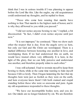think that I was in serious trouble if I was planning to appear before the Lord like this. Like the eagles, my old acquaintance could understand my thoughts, and he replied to them.

"Those who come here wearing that mantle have nothing to fear. That mantle is the highest rank of honor, and it is why they all bowed to you while you passed."

"I did not notice anyone bowing to me," I replied, a bit disconcerted. "In fact, I didn't even notice anyone until just now."

"It is not improper," he continued. "Here we show each other the respect that is due. Even the angels serve us here, but only our God and His Christ are worshipped. There is a marked difference between honoring one another in love, and worshipping them. If we had understood this on earth, we would have treated others very differently. It is here, in the light of His glory, that we can fully perceive and understand one another, and therefore properly relate to each other."

I was still ashamed. I had to restrain myself to keep from bowing to them, while at the same time wanting to hide myself because I felt so lowly. Then I began lamenting the fact that my thoughts here were just as foolish as they were on the earth, and here everyone knew them! I felt both stained and stupid standing before these who were so awesome and pure. Again my old acquaintance responded to these thoughts.

"We have our incorruptible bodies now, and you do not. Our minds are no longer hindered by sin. We are therefore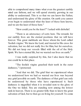able to comprehend many times what even the greatest earthly mind can fathom, and we will spend eternity growing in our ability to understand. This is so that we can know the Father, and understand the glory of His creation. On earth you cannot even begin to understand what the least of these here knows, and we are the least of those here."

"How could you be the least?" I asked with disbelief.

"There is an aristocracy of sorts here. The rewards for our earthly lives are the eternal positions that we will have forever. This great multitude are those whom the Lord called 'foolish virgins.' We knew the Lord, and trusted in His cross for salvation, but we did not really live for Him, but for ourselves. We did not keep our vessels filled with the oil of the Holy Spirit. We have eternal life, but we wasted our lives on earth."

I was really surprised by this, but I also knew that no one could lie in that place.

"The foolish virgins gnashed their teeth in the outer darkness," I protested.

"And that we did. The grief that we experienced when we understood how we had so wasted our lives was beyond any grief possible on earth. The darkness of that grief can only be understood by those who have experienced it. Such darkness is magnified when it is revealed next to the glory of the One we failed. You are standing now among the lowest rank in heaven. There is no greater folly than to know the great salvation of God, but to then go on living for yourself. To come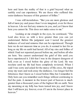here and learn the reality of that is a grief beyond what an earthly soul can experience. We are those who suffered this outer darkness because of this greatest of follies."

I was still incredulous. "But you are more glorious and full of more joy and peace than I even imagined, even for those in heaven. I do not feel any remorse in you, and yet I know that here you cannot lie. This does not make sense to me."

Looking at me straight in the eyes, he continued, "The Lord also loves us with a love greater than you can yet understand. Before His judgment seat I tasted the greatest darkness of soul and remorse that can be experienced. Though here we do not measure time as you do, it seemed to last for as long as my life on earth had lasted. All of my sins and follies of which I had not repented passed before me, and before all who are here. You cannot understand the grief of this until you have experienced it. I felt that I was in the deepest dungeon of hell, even as I stood before the glory of the Lord. He was resolute until my life had been completely reviewed. When I said I was sorry and asked for the mercy of His cross, He wiped away my tears and took away the darkness. I no longer feel the bitterness that I knew as I stood before Him, but I remember it. Only here can you remember such things without continuing to feel the pain. A moment in the lowest part of heaven is much greater than a thousand years of the highest life on earth. Now my mourning at my folly has been turned into joy, and I know that I will know joy forever, even if I am in the lowest place in heaven."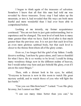I began to think again of the treasures of salvation. Somehow I knew that all that this man had told me was revealed by those treasures. Every step I had taken up the mountain, or into it, had revealed that His ways are both more fearful and more wonderful than I had ever been able to comprehend before.

Looking at me intently, my former acquaintance continued. "You are not here to just gain understanding, but to experience and be changed. The next level of rank here is many times greater than what we have. Each level after is that much greater than the previous one. It is not just that each level has an even more glorious spiritual body, but that each level is closer to the throne fromwhere all of the glory comes.

Even so, I no longer feel the grief of my failure. I really deserve nothing. I amhere by grace alone, and I amso thankful for what I have. He is so worthy to be loved. I could be doing many wondrous things now in the different realms of heaven, but I would rather stay here and just behold His glory, even if I amon the outer fringes."

Then, with a distant look in his eyes, he added, "Everyone in heaven is now in this room to watch His great mystery unfold, and to watch those of you who will fight the last battle."

"Can you see Him from here?" I asked. "I see His glory far away, but I cannot see Him."

"I can see many times better than you can," he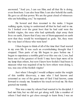answered. "And yes, I can see Him, and all that He is doing, even fromhere. I can also hear Him. I can also behold the earth. He gave us all that power. We are the great cloud of witnesses who are beholding you," he repeated.

He bowed and then resumed to the ranks. I began walking again, trying to understand all that he had said to me. As I looked over the great host that he had said were the foolish virgins, the ones who had spiritually slept away their lives on earth, I knew that if any one of them appeared on earth now that they would be worshipped as gods. Yet, they were the very least of those who were here!

I then began to think of all of the time that I had wasted in my own life. It was such an overwhelming thought that I stopped. Then parts of my life began to pass before me. I began to experience a terrible grief over this one sin. I, too, had been one of the greatest of fools! I may have kept more oil in my lamp than others, but now I knew how foolish I had been to measure what was required of me by how others were doing. I, too, was one of the foolish virgins!

Just when I thought I would collapse under the weight of this terrible discovery, a man who I had known and esteemed as one of the great men of God I had known, came forward to steady me. Somehow his touch revived me. He then greeted me warmly.

This was a man by whomI had wanted to be discipled. I had met him, but we did not get along well. Like a number of others I had tried to get close enough to learn from, I was an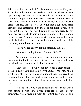irritation to him and he had finally asked me to leave. For years I had felt guilty about this, feeling that I had missed a great opportunity because of some flaw in my character. Even though I had put it out of my mind, I still carried the weight of this failure. When I saw him it all surfaced, and a sick feeling came over me. Now he was so regal that I felt even more repulsive and embarrassed by my poor condition. I wanted to hide but there was no way I could avoid him here. To my surprise, his warmth toward me was so genuine that he soon put me at ease. There did not seem to be any barriers between us. In fact, the love I felt coming from him almost completely took away my self-consciousness.

"I have waited eagerly for this meeting," he said.

"You were waiting for me?" I asked. "Why?"

"You are just one of many that I am waiting for. I did not understand until my judgment that you were one that I was called to help, to even disciple, but I rejected you."

"Sir," I protested. "It would have been a great honor to be discipled by you, and I am very thankful for the time that I did have with you, but I was so arrogant that I deserved the rejection. I know that my rebellion and pride has kept me from having a real spiritual father. This was not your fault, but mine."

"It is true that you were prideful, but that is not why I was offended with you. I was offended because of my insecurity, which made me want to control everyone around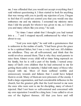me. I was offended that you would not accept everything that I said without questioning it. I then started to look for anything that was wrong with you to justify my rejection of you. I began to feel that if I could not control you that you would one day embarrass me and my ministry. I esteemed my ministry more than I did the people for whom it was given to me, so I drove you and many others like you away," he said.

"At times I must admit that I thought you had turned into a . . ." and I stopped myself, embarrassed by what I was about to say.

"And you were right," he said with a genuineness that is unknown in the realms of earth, "I had been given the grace to be a spiritual father, but I was a very bad one. All children are rebellious. They are all self-centered, and think that the world revolves around them. That is why they need parents to raise them. Almost every child will at times bring reproach on his family, but he is still a part of the family. I turned away many of God's own children that he had entrusted to me for getting themsafely to maturity. I failed with many of those who stayed with me. Most of them suffered terrible and unnecessary wounds and failures that I could have helped them to avoid. Many of them are now prisoners of the enemy. I built a large organization, and had considerable influence in the church, but the greatest gifts that the Lord trusted to me were the ones who were sent to me for discipling, many of whom I rejected. Had I not been so self-centered and concerned with my own reputation I would be a king here. I was called to sit on one of the highest thrones. All that you have and will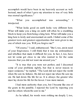accomplish would have been in my heavenly account as well. Instead, much of what I gave my attention to was of very little true eternal significance."

"What you accomplished was astounding," I interjected.

"What looks good on earth looks very different here. What will make you a king on earth will often be a stumbling block to keep you frombeing a king here. What will make you a king here is lowly and unesteemed on earth. I failed some of the greatest tests and greatest opportunities that were given to me, one of which was you. Will you forgive me?"

"Of course," I said, embarrassed. "But I, too, amin need of your forgiveness. I still think that it was my awkwardness and rebellion that made it difficult for you. In fact, I, too, have not let some get close to me who wanted to for the same reasons that you did not want me around you."

"It is true that you were not perfect, and I discerned some of your problems rightly, but that is never reason to reject someone," he replied. "The Lord did not reject the world when He saw its failures. He did not reject me when He saw my sin. He laid down His life for us. It is always the greater who must lay down his life for the lesser. I was more mature.

I had more authority than you, but I became like one of the goats in the parable; I rejected the Lord by rejecting you and the others whom He sent to me."

As he talked, his words were striking me deeply. I, too,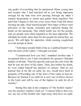was guilty of everything that he mentioned. Many young men and women who I had brushed off as not being important enough for my time were now passing through my mind. I wanted desperately to return and gather them together! The grief that I began to feel was even worse than I had felt about wasting my time. I had wasted people! Now many of these were prisoners of the enemy, wounded and captured during the battle on the mountain. This whole battle was for the people, and yet people were often regarded as the least important. We will fight for truths more than for the people for whom they are given. We will fight for ministries while running roughshod over the people in them.

"And many people think of me as a spiritual leader! I am truly the least of the saints," I thought out loud.

"I understand how you feel," remarked another man. I recognized him as one I had considered the greatest Christian leaders of all time. "Paul the apostle said near the end of his life that he was the least of the saints. Then, just before his death, he even called himself the greatest of sinners.' Had he not learned that in his life on earth, he, too, would have been in jeopardy of becoming one of the least of the saints in heaven. Because he learned it on earth he is now one of those closest to the Lord, and will be one of the highest in rank for all of eternity."

Seeing this man in the company of "the foolish virgins" was the greatest surprise I had yet. "I cannot believe that you, too, are one of the foolish who slept away their lives on earth.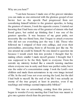Why are you here?"

"I am here because I made one of the gravest mistakes you can make as one entrusted with the glorious gospel of our Savior. Just as the apostle Paul progressed from not considering himself inferior to the greatest apostles, to being the greatest of sinners, I took the opposite course. I started out knowing that I had been one of the greatest of sinners who had found grace, but ended up thinking that I was one of the greatest apostles. It was because of my great pride, not insecurity like our friend here, that I began to attack everyone who did not see everything just the way I did. Those who followed me I stripped of their own callings, and even their personalities, pressuring them to all become just like me. No one around me could be himself. No one dared to question me because I would crush him into powder. I thought that by making others smaller I made myself greater. I thought that I was supposed to be the Holy Spirit to everyone. From the outside my ministry looked like a smooth running machine where everyone was in unity and there was perfect order, but it was the order of a concentration camp. I took the Lord's own children and made them automatons in my own image instead of His. In the end I was not even serving the Lord, but the idol I had built to myself. By the end of my life I was actually an enemy of the true gospel, at least in practice, even if my teachings and writings seemed impeccably biblical."

This was so astounding, coming from this person, I began to wonder if every meeting that I had here was meant to give me a greater shock than the previous one.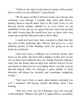"If that is true, that you became an enemy of the gospel, how is it that you are still here?" I questioned.

"By the grace of God, I did trust in the cross for my own salvation, even though I actually kept other men from it, leading them to myself rather than to the Lord. Even so, the blessed Savior remains faithful to us even when we are unfaithful. It was also by his grace that the Lord took me from the earth sooner than He would have just so those who were under me could find Himand come to know Him."

I could not have been more stunned to think that this was true of this particular man. History had given us a very different picture of him. Reading what was going on in my heart, he continued:

"God does have a different set of history books than those on the earth. You have had a glimpse of this, but you do not yet know how different they are. Earthly histories will pass away, but the books that are kept here will last forever. If you can rejoice in what heaven is recording about your life, you are blessed indeed. Men see through a glass darkly, so their histories will always be clouded, and sometimes completely wrong."

"How was it that so many other leaders esteemed you so?" I inquired, still having trouble absorbing what I was hearing.

"Very few, even very few Christians, have the true gift of discernment. Without this gift it is impossible to accurately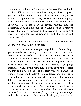discern truth in those of the present or the past. Even with this gift it is difficult. Until you have been here, and been stripped, you will judge others through distorted prejudices, either positive or negative. That is why we were warned not to judge before the time. Until we have been here we just cannot really know what is in the heart of others, whether they are performing good or evil deeds. There have been good motives in even the worst of men, and evil motives in even the best of them. Only here can men be judged by both their deeds and their motives."

"When I return to earth, will I be able to discern history accurately because I have been here?"

"You are here because you prayed for the Lord to judge you severely, to correct you ruthlessly, so that you could serve Him more perfectly. This was one of the most wise requests you have ever made. The wise judge themselves lest they be judged. The even wiser ask for the judgments of the Lord, because they realize that they cannot even judge themselves well. Having come here you will leave with far more wisdom and discernment, but on earth you will always see through a glass darkly at least to some degree. Your experience here will help you to know men better, but only when you are fully here can you know them fully. When you leave here you will be more impressed by how little you know men rather than by how well you know them. This is just as true in relation to the histories of men. I have been allowed to talk with you because I have in a sense discipled you through my writings, and to know the truth about me will help you," the famous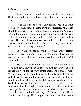Reformer concluded.

Then a woman stepped forward who I did not know. Her beauty and grace were breathtaking, but it was not sensual or seductive in any way.

"I was his wife on earth," she began. "Much of what you know of him actually came from me, therefore, what I am about to say is not just about him, but about us. You can reform the church without reforming your own soul. You can dictate the course of history, and yet not do the Father's will, or glorify His Son. If you commit yourself to making human history, you may do it, but it is a fleeting accomplishment that will evaporate like a wisp of smoke."

"But your husband's work or your work greatly impacted every generation after him for good. It is hard to imagine how dark the world would have been without him," I protested.

"True. But you can gain the whole world and still lose your own soul. Only if you keep your own soul pure can you impact the world for the truly lasting eternal purposes of God. My husband lost his soul to me, and he only gained it at the end of his life because I was taken from the earth so that he could. Much of what he did he did more for me than for the Lord. I pressured him and even gave him much of the knowledge that he taught. I used him as an extension of my own ego, because as a woman at the time I could not be recognized as a spiritual leader myself. I took over his life so that I could live my life through him. Soon I had him doing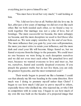everything just to prove himself to me."

"You must have loved her very much," I said looking at him.

"No. I did not love her at all. Neither did she love me. In fact, after just a few years of marriage we did not even like each other. But we both needed each other, so we found a way to work together. Our marriage was not a yoke of love, but of bondage. The more successful we became, the more unhappy we became, and the more deception we used to fool those who followed us. We were empty wretches by the end of our lives. The more influence that you gain by your own self-promotion, the more you must strive to retain your influence, and the more dark and cruel your life will become. Kings feared us, but we feared everyone fromthe kings to the peasants. We could trust no one because we were living in such deception ourselves and we did not even trust each other. We preached love and trust, because we wanted everyone to love and trust us, but we, ourselves, feared and secretly despised everyone. If you preach the greatest truths but do not live them, you are only the greatest hypocrite, and the most tormented soul."

Their words began to pound me like a hammer. I could see that already my life was heading in the same direction. How much was I doing to promote myself rather than Christ? I began to see how much I did just to prove myself to others, especially those who disliked me, who rejected me, or who I felt in competition with in some way. I began to see how much of my own life was built on the facades of a projected image that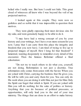belied who I really was. But here I could not hide. This great cloud of witnesses all knew who I was beyond the veil of my projected motives.

I looked again at this couple. They were now so guileless and so noble that it was impossible to question their motives.

They were gladly exposing their most devious sins for my sake, and were genuinely happy to be able to do it.

"I may have had a wrong concept of you by your history and your writings, but I have even more esteem for you now. I pray that I can carry from this place the integrity and freedom that you now have. I am tired of trying to live up to projected images of myself. How I long for that freedom!" I lamented, wanting desperately to remember every detail of this encounter. Then the famous Reformer offered a final exhortation:

"Do not try to teach others to do what you, yourself, are not doing. Reformation is not just a doctrine. True reformation only comes from union with the Savior. When you are yoked with Christ, carrying the burdens that He gives you, He will be with you and carry them for you. You can only do His work when you are doing it with Him, not just for Him. Only the Spirit can beget that which is Spirit. If you are yoked with Him you will do nothing for the sake of politics or history. Anything that you do because of political pressures, or opportunities, will only lead you to the end of your true ministry. The things that are done in an effort to make history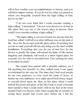will at best confine your accomplishments to history, and you will fail to impact eternity. If you do not live what you preach to others you disqualify yourself from the high calling of God, just as we did."

"I do not even think that I could consider seeking a high calling," I interrupted. "I do not even deserve to sit here in this place that you say is the lowest place in heaven. How could I ever consider seeking a high calling?"

"The high calling is not out of reach for anyone that the Lord has called. I will tell you what will keep you on the path of life—love the Savior and seek His glory alone. Everything that you do to exalt yourself will one day bring you the most terrible humiliation. Everything that you do out of true love for the Savior, to glorify His name, will extend the limits of His eternal kingdom, and ultimately will result in a much higher place for yourself. Live for whet is recorded here. Care nothing for what is recorded on earth."

The couple then parted with a cheerful embrace, yet I felt anything but cheerful. As they walked away I was again overwhelmed by my own sin. The times that I had used people for my own purposes, or even used the name of Jesus, to further my own ambitions, or to make myself look better, began to cascade down upon me. Here, in this place where I could behold the power and glory of the One I had so used, it became more repulsive than I could stand. I fell on my face in the worst despair I had ever known. After what seemed like an eternity of seeing these people and events pass before me, I felt the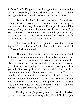Reformer's wife lifting me to my feet again. I was overcome by her purity, especially as I now felt so evil and corrupt. I had the strongest desire to worship her because she was so pure.

"Turn to the Son," she said emphatically. "Your desire to worship me, or anyone else at this time, is only an attempt to turn the attention away from yourself, and justify yourself by serving what you are not. I am pure now because I turned to Him. You need to see the corruption that is in your own soul, but then you must not dwell on yourself, or seek to justify yourself with dead works, but turn to Him."

This was said in such genuine love that it was impossible to be hurt or offended by it. When she saw that I understood, she continued:

"The purity that you saw in me was what my husband first saw in me when we were young. I was relatively pure in my motives then, but I corrupted his love and my own purity by allowing him to worship me wrongly. You can never become pure just by worshipping those who are more pure than yourself. You must go beyond them to find the One who has made them pure, and in Whom alone there is no sin. The more people praised us, and the more we accepted their praises, the further we drifted from the path of life. Then we started living for the praises of men, and to gain power over those who would not praise us. That was our demise, and was the same for many who are here in the lowest place."

Wanting to simply prolong our conversation, I asked the next question that came to my mind, "Is it difficult for you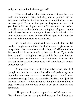and your husband to be here together?"

"Not at all. All of the relationships that you have on earth are continued here, and they are all purified by the judgment, and by the fact that they are now spiritual just as we are now spirit. The more that you are forgiven the more that you love. After we forgave each other we loved each other more. Now our relationship is continuing in much greater depth and richness because we are joint heirs of this salvation. As deep as the wounds went that we afflicted upon each other, the love was able to go when we were healed.

We could have experienced this on earth, but we did not learn forgiveness in time. If we had learned forgiveness the competition that entered our relationship, and sidetracked our life, would not have been able to take root in us. If you truly love, you will truly forgive. The harder it is for you to forgive, the further you are from true love. Forgiveness is essential if you will stumble, and in many ways will stray from the course chosen for you."

At the same time I realized that this woman, who had brought me into this confrontation with such pain at my own depravity, was also the most attractive person I could ever remember meeting. It was not romantic attraction, but I just did not want to leave her. Perceiving my thoughts, she withdrew a step, indicating that she was about to go, but offered me one last insight.

"The pure truth, spoken in pure love, will always attract. You will remember the pain you feel here, and it will help you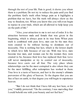through the rest of your life. Pain is good; it shows you where there is a problem. Do not try to reduce the pain until you find the problem. God's truth often brings pain as it highlights a problem that we have, but His truth will always show us the way to freedom, too. When you know this you will even begin to rejoice in your trials, which are all allowed to help keep you on the path of life."

"Also, your attraction to me is not out of order. It is the attraction between male and female that was given in the beginning, which is always pure in its true form. When pure truth is combined with pure love, men can be the men they were created to be without having to dominate out of insecurity. This is nothing but lust, which is the lowest depth to which love falls because of our sin. With true love, men become true men, and women can be the women they were created to be, because their love has replaced their fear. Love will never manipulate or try to control out of insecurity, because love casts out all fear. The very place where relationships can be the most corrupted is also where they can be the most fulfilling, after redemption has worked in them. True love is a taste of heaven, and lust is the enemy's ultimate perversion of the glory of heaven. To the degree that you are free of lust on earth, to that degree you will begin to experience heaven.

"But I do not think that I have felt any lust here, or for you," I mildly protested. "On the contrary, I was marveling that I could behold one with your beauty and not feel lust."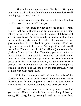"That is because you are here. The light of His glory here casts out all darkness. But if you were not here, lust would be gripping you now," she said.

"I'm sure you are right. Can we ever be free from this terrible perversion on earth?" I begged.

"Yes. As your mind is renewed by the Spirit of Truth, you will not see relationships as an opportunity to get from others, but to give. Giving provides the greatest fulfillment that we can ever know. The most wonderful human relationships are but a fleeting glimpse of the ecstasy that comes when we give ourselves to the Lord in pure worship. What we experience in worship here your frail unglorified body could not endure. The true worship of God will purify the soul for the glories of true relationships. Therefore, you must not seek relationships, but true worship. Only then can relationships start to be what they are supposed to be. True love never seeks to be first, or to be in control, but rather the place of service. If my husband and I had kept this in our marriage, we would be sitting next to the King now, and this great hall would be filled with many more souls."

With that she disappeared back into the ranks of the glorified saints. I looked again towards the throne I was taken aback because the glory appeared so much more beautiful than it had before. Another man standing close to me explained:

"With each encounter, a veil is being removed so that you can see Him more clearly. You are not changed just by seeing His glory, but by seeing it with an unveiled face.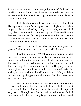Everyone who comes to the true judgments of God walks a corridor such as this to meet those who can help them remove whatever veils they are still wearing, those veils that will distort their vision of Him."

I had already absorbed more understanding than I felt like my many years of ministry on earth had given me. I then began to feel that all of my study and seeking on earth had only lead me forward at a snail's pace. How could many lifetimes prepare me for the judgment? My life had already disqualified me more than all of those whom I had met, and they had barely made it here!

"How could all of those who had not been given the grace of this experience have any hope at all?" I asked.

I heard a new voice: "What you are experiencing here has been given you on earth. Every relationship, every encounter with another person, could teach you what you are learning here if you will keep that cloak of humility on, and learn to always keep your attention fixed on His glory. You are being given this experience now because you will write the vision, and those who read it will understand it. Many will then be able to carry the glory and the power that they must carry into the last battle."

I was amazed to recognize this man as a contemporary of mine, and I did not know that he had died. I had never met him on earth, but he had a great ministry which I respected very much. Through men that he had trained, thousands had been led to salvation, and many large churches had been raised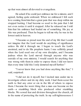up that were almost all devoted to evangelism.

He asked if he could just embrace me for a minute, and I agreed, feeling quite awkward. When we embraced I felt such love coming from him that a great pain that was deep within me stopped hurting. I had become so used to the pain that I did not even notice it until it stopped. After he released me I told him that his embrace had healed me of something. His joy at this was profound. Then he began to tell me why he was in the lowest rank in heaven.

"I became so proud near the end of my life that I could not imagine that the Lord would do anything of significance unless He did it through me. I began to touch the Lord's anointed, and to do His prophets harm. I was selfishly proud when the Lord used one of my own disciples, and I became jealous when the Lord moved through anyone who was outside of my own ministry. I would search for anything that was wrong with them in order to expose them. I did not know that every time I did this I only demoted myself further."

"I never knew that you had done anything like that," I said, surprised.

"I did not do it myself, but I incited men under me to investigate others and do my dirty work. I had them scour the earth to find any error or sin in the life of others to expose them. I became the worst thing that a man can become on the earth—a stumbling block who produced other stumbling blocks. We sowed fear and division throughout the church, all in the name of protecting the truth. In my self-righteousness I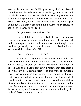was headed for perdition. In His great mercy the Lord allowed me to be struck by a disease that would bring about a slow and humiliating death. Just before I died I came to my senses and repented. I amjust thankful to be here at all. I may be one of the least of His here, but it is much more than I deserve. I just could not leave this room until I had a chance to apologize to those of you that I so wronged."

"But you never wronged me," I said.

"Oh, but I did indeed," he replied. "Many of the attacks that came against you were from those whom I had agitated and encouraged in their assaults on others. Even though I may not have personally carried out the attacks, the Lord holds me as responsible as those who did."

"I see. Of course I forgive you."

I was already beginning to remember how I had done this same thing, even though on a smaller scale. I recalled how I had allowed disgruntled former members of a church to spread their poison about that church without stopping them. I knew that by just allowing them to do this without correcting them I had encouraged them to continue. I remember thinking that this was justified because of the errors of that church. I then began to remember how I had even repeated many of their stories, justifying it under the quite of enlisting prayers for them. Soon a great flood of other such incidents began to arise in my heart. Again, I was starting to be overwhelmed by the evil and darkness of my own soul.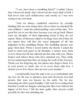"I, too, have been a stumbling block!" I wailed. I knew that I deserved death, that I deserved the worst kind of hell. I had never seen such ruthlessness and cruelty as I was now seeing in my own heart.

"And we always comforted ourselves by actually thinking that we were doing God a favor when we attacked His own children," came the understanding voice of this man. "It is good for you to see this here, because you can go back. Please warn my disciples of their impending doom if they do not repent. Many of them are called to be kings here, but if they do not repent they will face the worst judgment of all—the judgment of the stumbling blocks. My humbling disease was grace from God. When I stood before the throne I asked the Lord to send such grace to my disciples. I cannot cross back over to them, but He has allowed me this time with you. Please forgive and release those who have attacked you. They really do not understand that they are doing the work of the Accuser. Thank you for forgiving me, but please also forgive them. It is in your power to retain sins or to cover them with love. I entreat you to love those who are now your enemies."

I could hardly hear this man I was so overwhelmed with my own sin. He was so glorious, pure and obviously now had powers that were not known on the earth. Yet, he was entreating me with a great humility. I felt such love coming from him that I could not imagine refusing him. But even without the impact of his love, I felt far more guilty than anyone could possibly be who was attacking me.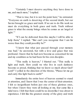"Certainly I must deserve anything they have done to me, and much more," I replied.

"That is true, but it is not the point here," he entreated. "Everyone on earth is deserving of the second death, but our Savior brought us grace and truth. If we are to do His work we must do everything in both grace and truth. Truth without grace is what the enemy brings when he comes as an 'angel of light.' "

"If I can be delivered from this maybe I will be able to help them," I replied. "But can't you recognize that I am far worse than they could possibly be?"

"I know that what just passed through your memory was bad," he answered, but with a love and grace that was profound. I knew that he had now become as concerned for me and my condition as he had been for his own disciples.

"This really is heaven," I blurted out. "This really is light and truth. How could we who live in such darkness become so proud, thinking that we know so much about God? Lord!" I yelled in the direction of the throne, "Please let me go and carry this light back to earth!"

Immediately the entire host of heaven seemed to stand at attention, and I knew that I was the center of their attention. I felt so insignificant before just one of these glorious ones. but when I knew they were all looking at me, fear came like a tidal wave. I felt that there could be no doomlike I was about to experience. I felt like the greatest enemy of the glory and truth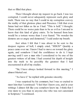that so filled that place.

Then I thought about my request to go back. I was too corrupted. I could never adequately represent such glory and truth. There was no way that I could in my corruption convey the reality of that glorious place and Presence. I felt that even Satan had not fallen as far as I had. "This is hell," I thought. There could be no worse pain than to be as evil as I am and to know that this kind of glory exists. To be banned from here would be a torture worse than I ever feared. "No wonder the demons are so angry and demented," I said under my breath.

Just when I felt that I was about to be sent to the deepest regions of hell, I simply cried, "JESUS!" Quickly a peace came over me. I knew I had to move on toward the glory again, and somehow I had the confidence to do it. I kept moving until I saw a man who I considered to be one of the greatest writers of all time. I had counted his depth of insight into the truth to be possibly the greatest that I had encountered in all of my studies.

"Sir, I have always looked forward to this meeting," I almost blurted out.

"As have I," he replied with genuine sincerity.

I was surprised by his comment, but I was so excited to meet him that I continued: "I feel that I know you, and in your writings I almost felt like you somehow knew me. I think that I owe more to you than to anyone else who was not canonized in Scripture," I continued.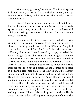"You are very gracious," he replied. "But I amsorry that I did not serve you better. I was a shallow person, and my writings were shallow, and filled more with worldly wisdom than divine truth."

"Since I have been here, and learned all that I have learned, I know that this must be true because you can only speak the truth here, but that is hard for me to understand. I think your writings are some of the best that we have on earth," I answered.

"You are right," this famous writer admitted, with sincerity. "It is so sad. Everyone here, even those who sit closest to the King, would live their lives differently if they had them to live over, but I think that I would live mine even more differently than most. I was honored by kings, but failed the King of kings. I used the great gifts and insights that were given to me to draw men more to myself and my wisdom than to Him. Besides, I only knew Him by the hearing of the ear, which is the way I compelled other men to know Him. I made them dependent on me, and others like me. I turned them more to deductive reasoning than to the Holy Spirit, Who I hardly knew. I did not point men to Jesus, but to myself and others like me who pretended to know Him. When I beheld Him here, I wanted to ground my writings into powder, just as Moses did to the golden calf. My mind was my idol, and I wanted everyone to worship my mind with me. Your esteem for me does not cause me to rejoice. If I had spent as much time seeking to know Him as I did seeking to know about Him in order to impress others with my knowledge, many of those who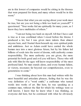are in this lowest of companies would be sitting in the thrones that were prepared for them, and many others would be in this room."

"I know that what you are saying about your work must be true, but are you not being a little too hard on yourself?" I questioned. "Your works fed me spiritually for many years, as I know they have multitudes of others."

"I am not being too hard on myself. All that I have said is true as it was confirmed when I stood before the throne. I produced a lot, but I was given more talents than almost anyone here, and I buried them beneath my own spiritual pride and ambitions. Just as Adam could have carried the whole human race into a most glorious future, but by his failure led billions of souls into the worst of dooms, with authority comes responsibility. The more authority you are given, the more potential for both good and evil you will have. Those who will rule with Him for the ages will know responsibility of the most profound kind. No man stands alone, and every human failure, or victory, resonates far beyond our comprehension, even to generations to come."

I was thinking about how this man had written with the most beautiful and articulate phrases, feeling that he was the very definition of a "word smith," a craftsman who turned words into works of art. But here, he was speaking as a common man, without the flair for which his writings were so well known. I knew that he knew what I was thinking, as everyone did here, but he continued with what he obviously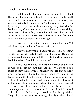thought was more important.

"Had I sought the Lord instead of knowledge about Him, many thousands who I could have led successfully would have resulted in many more millions being here now. Anyone who understands the true nature of authority would never seek it, but only accept it when they know they are yoked with the Lord, the only One who can carry authority without stumbling. Never seek influence for yourself, but only seek the Lord and be willing to take His yoke. My influence did not feed your heart, but rather your pride in knowledge."

"How can I know that I am not doing the same?" I asked as I began to think of my own writings.

"Study to show yourself approved unto God, not men," he replied as he walked back into the ranks. Before he disappeared he turned and with the slightest smile, offered one last bit of advice: "And do not follow me."

In this first multitude I saw many other men and women of God from both my own time and history. I stopped and talked to many more. I was continually shocked that so many who I expected to be in the highest positions were in the lowest rank of the kingdom. Many shared the same basic story —they all had fallen to the deadly sin of pride after their great victories, or fallen to jealousy when other men were anointed as much as they were. Others had fallen to lust, discouragement, or bitterness near the end of their lives and had to be taken before they crossed the line into perdition. They all gave me the same warning: the higher the spiritual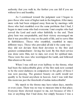authority that you walk in, the further you can fall if you are without love and humility.

As I continued toward the judgment seat I began to pass those who were of higher rank in the kingdom. After many more veils had been stripped away from me by meetings with those who had stumbled over the same problems that I had, I began to meet some who had overcome. I met couples who had served the Lord and each other faithfully to the end. Their glory here was unspeakable, and their victory encouraged me that it was possible to stay on the path of life, and to serve Him in faithfulness. Those who stumbled, stumbled in many different ways. Those who prevailed all did it the same way they did not deviate from their devotion to the first and greatest commandment—loving the Lord. By this their service was done unto Him, not to men, not even for spiritual men. These were the ones who worshipped the Lamb, and followed Himwherever He went.

When I was still not even halfway to the throne, what had been the indescribable glory of the first rank now seemed to be the outer darkness in comparison to the glory of those I was now passing. The greatest beauty on earth would not qualify to be found anywhere in heaven. And I was told that this roomwas just the threshold of realms indescribable!

My march to the throne may have taken days, months or even years. There was no way to measure time in that place. Everyone there showed respect to me, not because of who I was or anything that I had done, but simply because I was a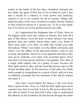warrior in the battle of the last days. Somehow, through this last battle, the glory of God was to be revealed in such a way that it would be a witness to every power and authority, created or yet to be created, for all of eternity. During this battle the glory of the cross would be revealed, and the wisdom of God would be known in a special way. To be in that battle was to be given one of the greatest honors possible.

As I approached the Judgment Seat of Christ, those in the highest ranks were also sitting on thrones that were all a part of His throne. Even the least of these thrones was more glorious than any earthly throne many times over. Some of these were rulers over cities on earth who would soon take their places. Others were rulers over the affairs of heaven, and others over the affairs of the physical creation, such as star systems and galaxies. However, it was apparent that those who were given authority over cities were esteemed above those who had even been given authority over galaxies. The value of a single child surpass that of a galaxy of stars, because the Holy Spirit dwelt in men, and the Lord had chosen men as His eternal dwelling place. In the presence of His glory the whole earth seemed as insignificant as a speck of dust; and yet it was so infinitely esteemed that the attention of the whole creation was upon it.

Now that I stood before the throne, I felt even lower than a speck of dust. Even so, I felt the Holy Spirit upon me in a greater way than I ever had. It was by His power alone that I was able to stand. It was here that I truly came to understand His ministry as the Comforter. He had led me through the entire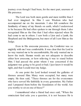journey even though I had been, for the most part, unaware of His presence.

The Lord was both more gentle and more terrible than I had ever imagined. In Him I saw Wisdom who had accompanied me on the mountain. I also felt somehow the familiarity of many of my friends on earth, which I understood to be because He had often spoken to me through them. I also recognized Him as the One that I had often rejected when He had come to me in others. I saw both a Lion and a Lamb, the Shepherd and the Bridegroom, but most of all I saw Him as the Judge.

Even in His awesome presence, the Comforter was so mightily with me I was comfortable. It was clear that the Lord in no way wanted me to be uncomfortable; He only wanted me to know the truth. Human words are not adequate to describe either how awesome, or how relieving it was to stand before Him. I had passed the point where I was concerned if the judgment was going to be good or bad; I just knew it would be right, and that I could trust my Judge.

At one point the Lord looked toward the galleries of thrones around Him. Many were occupied, but many were empty. He then said, "These thrones are for the overcomers who have served Me faithfully in every generation. My Father and I prepared them before the foundation of the world. Are you worthy to sit on one of these?"

I remembered what a friend had once said, "When the omniscient God asks you a question, it is not because He is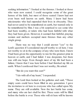seeking information." I looked at the thrones. I looked at those who were now seated. I could recognize some of the great heroes of the faith, but most of those seated I knew had not even been well known on earth. Many I knew had been missionaries who had expended their lives in obscurity. They had never cared to be remembered on earth, but wanted only to be remembered by Him. I was a bit surprised to see some who had been wealthy, or rulers who had been faithful with what they had been given. However, it seemed that faithful, praying women and mothers occupied more thrones than any other single group.

There was no way that I could answer "yes" to the Lord's question if I considered myself worthy to sit here. I was not worthy to sit in the company of any who were there. I knew I had been given the opportunity to run for the greatest prize in heaven or earth, and I had failed. I was desperate, but there was still one hope. Even though most of my life had been a failure, I knew that I was here before I had finished my life on earth. When I confessed that I was not worthy, He asked:

"But do you want this seat?"

"I do with all of my heart," I responded.

The Lord then looked at the galleries and said, "Those empty seats could have been filled in any generation. I gave the invitation to sit here to everyone who has called upon My name. They are still available. Now the last battle has come, and many who are last shall be first. These seats will be filled before the battle is over. Those who will sit here will be known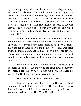by two things: they will wear the mantle of humility, and they will have My likeness. You now have the mantle. If you can keep it and do not lose it in the battle, when you return you will also have My likeness. Then you will be worthy to sit with these, because I will have made you worthy. All authority and power has been given to Me, and I alone can wield it. You will prevail, and you will be trusted with My authority only when you have come to fully abide in Me. Now turn and look at My household. "

I turned and looked back in the direction I had come from. From before His throne I could see the entire room. The spectacle was beyond any comparison in its glory. Millions filled the ranks. Each individual in the lowest rank was more awesome than an army, and had more power. It was far beyond my capacity to absorb such a panorama of glory. Even so, I could see that only a very small portion of the great room was occupied.

I then looked back at the Lord and was astonished to see tears in His eyes. He had wiped the tears away from every eye here, except His own. As a tear ran down His cheek he caught it in His hand. He then offered it to me.

"This is My cup. Will you drink it with Me?"

There was no way that I could refuse Him. As the Lord continued to look at Me I began to feel His great love. Even as foul as I was He still loved me. As undeserving as I was He wanted me to be close to Him. Then He said: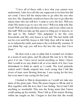"I love all of these with a love that you cannot now understand. I also love all who are supposed to be here but did not come. I have left the ninety-nine to go after the one who was lost. My shepherds would not leave the one to go after the ninety-nine who are still lost. I came to save the lost. Will you share My heart to go to save the toss? Will you help tofu this room? Will you help tofu these thrones, and every other seat in this hall? Will you take up this quest to bring joy to heaven, to Me and to My Father? This judgment is for My own household, and My own house is not full. The last battle will not be over until My house is full. Only then will it be time for us to redeemthe earth, and remove the evil fromMy creation. If you drink My cup you will love the lost the way that I love them."

He then took a cup so plain that it seemed out of place in a room of such glory, and He placed His tear in it. He then gave it to me. I have never tasted anything so bitter. I knew that I could in no way drink it all, or even much of it, but I was determined to drink as much as I could. The Lord patiently waited until I finally erupted into such crying that I felt like rivers of tears were flowing from me. I was crying for the lost, but even more I was crying for the Lord.

I looked to Him in desperation as I could not take any more of the great pain. Then His peace began to fill me and to flow together with His love that I was feeling. Never had I felt anything so wonderful. This was the living water that I knew could spring up for eternity. Then I felt as if the waters flowing within me caught on fire. I began to feel that this fire would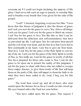consume me if I could not begin declaring the majesty of His glory. I had never felt such an urge to preach, to worship Him, and to breathe every breath that I was given for the sake of His gospel.

"Lord!" I shouted, forgetting everyone but Him. "I now know that this throne of judgment is also the throne of grace, and I ask you now for the grace to serve You. Above all things I ask you for grace! I ask you for the grace to finish my course. I ask You for the grace to love You like this so that I can be delivered from the delusions and self-centeredness that have so perverted my life. I call upon You for salvation from myself and the evil of my own heart, and for this love that I now feel to flow continually in my heart. I ask You to give me Your heart, Your love. I ask You for the grace of the Holy Spirit to convict me of my sin. I ask you for the grace of the Holy Spirit to testify of You, as You really are. I ask for the grace to testify of all that You have prepared for those who come to You. I ask for the grace to be upon me to preach the reality of this judgment. I ask for the grace to share with those who are called to occupy these empty thrones, to give them words of life that will keep them on the path of life, that will impart to them the faith to do what they have been called to do. Lord, I beg you for this grace."

The Lord then stood up, and all of those who were seated upon the thrones for as far as I could see also stood up. His eyes burned with a fire I had not seen before.

"You have called upon Me for grace. This request I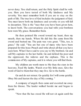never deny. You shall return, and the Holy Spirit shall be with you. Here you have tasted of both My kindness and My severity. You must remember both if you are to stay on the path of life. The true love of God includes the judgment of God. You must know both my kindness and severity or you will fall to deception. This is the "race that you have been given here, to know both. The conversations you had with your brethren here were My grace. Remember them.

He then pointed His sword toward my heart, then my mouth, then my hands. When He did this fire came from His sword and burned me. The pain was very great. "This, too, is grace," He said. "You are but one of many who have been prepared for this hour. Preach and write about all that you have seen here. What I have said to you say to My brethren. Go and call My captains to the last battle. Go and defend the poor and the oppressed, the widows and the orphans. This is the commission of My captains, and it is where you will find them.

My children are worth more to Me than the stars in the heavens. Feed My lambs. Watch over My little ones. Give the word of God to themthat they may live. Go to the battle.

Go and do not retreat. Go quickly for I will come quickly. Obey Me and hasten the day of My coming. "

A company of angels then came and escorted me away from the throne. The leader walked beside me and began to speak.

"Now that He has stood He will not sit again until the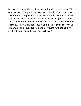last battle is over. He has been seated until the time when His enemies are to be put under His feet. The time has now come. The legions of angels that have been standing ready since the night of His passion have now been released upon the earth. The hordes of hell have also been released. This is the time for which all of creation has been waiting. The great mystery of God will soon be finished. We will now fight until the end. We will fight with you and with your brethren."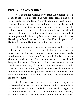## **Part V, The Overcomers**

As I continued walking away from the judgment seat I began to reflect on all that I had just experienced. It had been both terrible and wonderful. As challenging and heart rending as it had been, I felt more secure than I ever had. It was not easy at first to be stripped so bare in front of so many, unable to hide even a single thought, but when I just relaxed and accepted it, knowing that it was cleaning my very soul, it became profoundly liberating. Not having anything to hide was like taking off the heaviest yoke and shackles. I began to feel like I could breathe like I had never breathed before.

The more at ease I became, the more my mind seemed to multiply in its capacity. Then I began to sense a communication that was going on of which no human words could articulate. I thought of the apostle Paul's comments about his visit to the third heaven where he had heard inexpressible words. There is a spiritual communication that greatly transcends any form of human communication. It is more profound and meaningful than human words are able to articulate. Somehow it is a pure communication of the heart and mind together, and it is so pure that there is no possibility of misunderstanding.

As I looked at someone in the room I began to understand what he was thinking just as he had been able to understand me. When I looked at the Lord I began to understand Him in the same way. We continued to use words, but the meaning of each one had a depth that no dictionary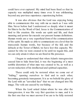could have ever captured. My mind had been freed so that its capacity was multiplied many times over. It was exhilarating beyond any previous experience. experiencing before.

It was also obvious that the Lord was enjoying being able to communicate this way with me as much as I was with Him. Never before had I understood so deeply what it meant for Him to be the Word of God. Jesus is the Communication of God to His creation. His words are spirit and life, and their meaning and power far exceeds our present human definitions. Human words are a very superficial form of the communication of the spirit. He made us able to communicate on a level that far transcends human words, but because of the fall, and the debacle at the Tower of Babel, we have lost this capacity. We cannot be who we were created to be until we regain this, and we can only attain it when we are freed in His presence.

I began to understand that when Adam's transgression caused him to hide from God, it was the beginning of a most terrible distortion of what man was created to be, as well as a severe reduction of his intellectual and spiritual capacities.

These could only be restored when we come out of "hiding," opening ourselves to God and to each other, becoming genuinely transparent. It is as we behold the glory of the Lord with an "unveiled face" that we are changed into His image. The veils are caused by our hiding.

When the Lord asked Adam where he was after the transgression, it was His very first question to man, and it is the first one that we must answer if we are to be fully restored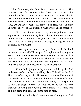to Him. Of course, the Lord knew where Adam was. The question was for Adam's sake. That question was the beginning of God's quest for man. The story of redemption is God's pursuit of man, not man's pursuit of God. When we can fully answer this question, knowing where we are in relation to God, we will have been fully restored to Him. We can only know the answer to this question when we are in His presence.

That was the essence of my entire judgment seat experience. The Lord already knew all that there was to know about me. It was all for my sake, so that I would know where I was. It was all to bring me out of hiding, to bring me out of darkness into the light.

I also began to understand just how much the Lord desired to be one with His people. Through the entire judgment He was not trying to get me to see something as good or bad as much as to see it in union with Him. The Lord was seeking me more than I was seeking Him. His judgments set me free, and His judgment of the world willset the world free.

When God's judgment day comes it will bring the final deliverance of Adamfromhis hiding place. This will be the final liberation of Adam, and it will also begin the final liberation of the creation which was subject to bondage because of Adam. The darkness in the world was perpetuated by the compulsion to hide that began after the fall. "Walking in the light" is more than just knowing and obeying certain truths—it is being true and it is being free fromthe compulsion to hide.

"Walking in the light" means no more hiding, from God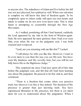or anyone else. The nakedness ofAdamand Eve before the fall was not just physical, but spiritual as well. When our salvation is complete we will know this kind of freedom again. To be completely open to others really will open our own hearts and minds to realms we do not now even know exist. This is what Satan is attempting to counterfeit through the New Age Movement.

As I walked, pondering all that I had learned, suddenly the Lord appeared by my side in the form of Wisdom again. Only He now appeared far more glorious than I had ever seen Him, even when He was on the judgment seat. I was both stunned and overjoyed.

"Lord, are you returning with me like this?" I asked.

"I will always be with you like this. However; I want to be even more to you than the way you see Me now. You have seen My kindness and My severity here, but you still do not fully know Me as the Righteous Judge. "

This surprised me since I had just spent all of this time before His judgment seat, and felt that all I had been learning was about His judgment. He paused to let this sink in, and then continued.

"There is a freedom that comes when you perceive truth, but whoever I set free is free indeed. The freedom of My presence is greater than just knowing truth. You have experienced liberation in My presence, but there is yet much more for you to understand about My judgments. When I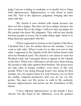judge I am not seeking to condemn, or to justify, but to bring forth righteousness. Righteousness is only found in union with Me. That is the righteous judgment, bringing men into unity with Me.

"My church is now clothed with shame because she does not have judges. She does not have judges because she does not know Me as the Judge. I will now raise up judges for My people who know My judgment. They will not just decide between people or issues, but to make things right, which is to bring theminto agreement with Me.

"When I appeared to Joshua as the Captain of the Host, I declared that I was for neither him nor his enemies. I never come to take sides. When I come it is to take over, not to take sides. I appeared as the Captain of the Host before Israel could enter her Promised Land. The church is now about to enter her Promised Land, and I am again about to appear as the Captain of the Host. When I do I will remove all who have been forcing My people to take sides against their brothers. My justice does not take sides in human conflicts, even those of My own people. What I was doing through Israel I was doing for their enemies, too, not against them. It is only because you see from the earthly, temporal perspective that you do not see My justice. You must see My justice to walk in My authority because righteousness and justice are the foundation of My throne.

"I have imputed righteousness to the people I have chosen, but like Israel in the wilderness, even the greatest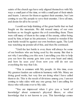saints of the church age have only aligned themselves with My ways a small part of the time, or with a small part of their minds and hearts. I am not for them or against their enemies, but I am coming to use My people to save their enemies. I love all men, and desire for all to be saved. "

I could not help thinking of the great battle that we had fought on the mountain. We did wound many of our own brethren as we fought against the evil controlling them. There were still many of them in the camp of the enemy, either being used by him, or kept as his prisoners. I started to wonder if the next battle would be against our own brothers again. The Lord was watching me ponder all of this, and then He continued.

"Until the last battle is over, there will always be some of our brothers who are being used by the enemy. But that is not why I am telling you this now. I am telling you this to help you see how the enemy gets into your own heart and mind, and how he uses you! Even now you still do not see everything the way that I do.

"This is common with My people. At this time, even My greatest leaders are seldom in harmony with Me. Many are doing good works, but very few are doing what I have called them to do. This is the result of divisions among you. I am not coming to take sides with any one group, but I am calling for those who will come over to My side.

"You are impressed when I give you a 'word of knowledge' about someone's physical illness, or other knowledge that is not known to you. This knowledge comes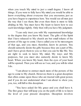when you touch My mind to just a small degree. I know all things. If you were to fully have My mind you would be able to know everything about everyone that you encounter, just as you have begun to experience here. You would see all men just the way that I see them. But even then there is more to fully abiding in Me. You must have My heart to know how to use such knowledge rightly. Only then will you have My judgment.

"I can only trust you with My supernatural knowledge to the degree that you know My heart. The gifts of the Spirit that I have released to My church are but small tokens of the powers of the age to come. I have called you to be messengers of that age, and you must, therefore, know its powers. You should earnestly desire the gifts because they are a part of Me, and I have given them to you so that you can be like Me. You are right to seek to know My mind, My ways and My purposes, but you must also earnestly desire to know My heart. When you know My heart, then the eyes of your heart will be opened. Then you will see as I see, and you will do what I do.

"I am about to entrust much more of the powers of the age to come to My church. However, there is a great deception that often comes upon those who are trusted with great power, and if you do not understand what I am about to show you, you, too, will fall to this deception.

"You have asked for My grace and you shall have it. The first grace that will keep you on the path of life is to know the level of your present deception. Deception involves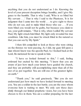anything that you do not understand as I do. Knowing the level of your present deception brings humility, and I give My grace to the humble. That is why I said, 'Who is so blind but My servant . . .' That is why I said to the Pharisees, 'It is for judgment that I came into the world . . . to give sight to those who do not see, and to make blind those who see . . . If you were blind you would not be guilty, but because you claim to see, your guilt remains. ' That is why, when I called My servant Paul, My light struck him blind. My light only revealed his true condition. Like him, you must be struck blind in the natural so that you can see by My Spirit."

I then felt compelled to look at those who were sitting on the thrones we were passing. As I did, my gaze fell upon a man whomI knew was the apostle Paul.As I looked back at the Lord, He motioned for me to speak to him.

"I have so looked forward to this," I said, feeling awkward but excited by this meeting. "I know that you are aware of just how much your letters have guided the church, and they are probably still accomplishing more than all of the rest of us put together. You are still one of the greatest lights on earth."

"Thank you," he said graciously. "But you do not understand just how much we have looked forward to meeting you. You are a soldier in the last battle; you are the ones whom everyone here is waiting to meet. We only saw these days dimly through our limited prophetic vision, but you have been chosen to live in them. You are a soldier preparing for the last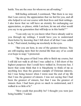battle. You are the ones for whomwe are all waiting."

Still feeling awkward, I continued, "But there is no way that I can convey the appreciation that we feel for you, and all who helped to set our course with their lives and their writings. I also know that we will have an eternity for exchanging our appreciation, so please, while I am here, let me ask what would you say to my generation that will help us in this battle?' "

"I can only say to you know what I have already said to you through my writings. I would have you to understand them better by knowing that I fell short of all that I was called to do," Paulstated, looking me resolutely in the eyes.

"But you are here, in one of the greatest thrones. You are still reaping more fruit for eternal life than any of us could ever hope to reap," I protested.

"By the grace of God I was able to finish my course, but I still did not walk in all that I was called to. I fell short of the highest purposes that I could have walked in. Everyone has. I know that some think that it is blasphemy to think of me as anything less than the greatest example of Christian ministry, but I was being honest when I wrote near the end of my life that I was the greatest of sinners. I was not saying that I had been the greatest of sinners, but that I was the greatest of sinners then. I had been given so much to understand, and I walked in so little of it."

"How could that possibly be? I thought you were just being humble," I asked.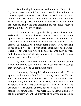"True humility is agreement with the truth. Do not fear. My letters were true, and they were written by the anointing of the Holy Spirit. However, I was given so much, and I did not use all that I was given. I, too, fell short. Everyone here has fallen short, except One. But you must especially see this about me, because many are still distorting my teachings because they have a distorted view of me."

"As you saw the progression in my letters, I went from feeling that I was not inferior to even the most imminent apostles, acknowledging that I was the least of the apostles, then the least of the saints, to finally realizing that I was the greatest of sinners. I was not just being humble, I was speaking sober truth. I was trusted with much, much more than I used. There is only One here who fully believed, who fully obeyed, and who truly finished all that He was given to do, but you can walk in much more than I did."

My reply was feeble, "I know that what you are saying is true, but are you sure that this is the most important message that you would give to us for the last battle?"

"I am sure," he replied with utter conviction. "I so appreciate the grace of the Lord to use my letters as He has. But I am concerned with the way many of you are using them wrongly. They are the truth of the Holy Spirit, and they are Scripture. The Lord did give me great stones to set into the structure of His eternal church, but they are not foundation stones. The foundation stones were laid by Jesus, alone. My life and ministry are not the example of what you are called to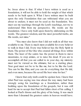be. Jesus alone is that. If what I have written is used as a foundation, it will not be able to hold the weight of that which needs to be built upon it. What I have written must be built upon the only Foundation that can withstand what you are about to endure; it must not be used as the foundation. You must see my teachings through the Lord's teachings, not try to understand Him from my perspective. His words are the foundation. I have only built upon them by elaborating on His words. The greatest wisdom, and the most powerful truths, are His words, not mine."

"You must also know that I did not walk in all that was available to me. There is much more available for every believer to walk in than I did. Every true believer has the Holy Spirit in them. The power of the One who created all things lives within them. The least of the saints has the power in them to move mountains, to stop armies, or to raise the dead. If you are to accomplish all that you are called to in your day, my ministry must not be viewed as the ultimate, but as a starting place. Your goal must not be to be like me, but to be like the Lord. You can be like Him, and you can do everything that He did, and even more, because He saved His best wine for last."

I knew that only truth could be spoken here. I knew that what Paul was saying was true about the way many had been wrongly using his teachings as a foundation, rather than building upon the foundation of the gospels, but it was still hard for me to accept that Paul had fallen short of his calling. I looked at Paul's throne and the glory of his being. It was much more than I dreamed the greatest saints in heaven would have.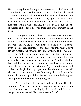He was every bit as forthright and resolute as I had expected him to be. It struck me how obvious it was that he still carried his great concern for all of the churches. I had idolized him, and that was a transgression that he was trying to set me free from. Even so, he was much greater than the Paul I had idolized. Knowing what I was thinking, he put both hands on my shoulders and looked me even more resolutely straight in the eyes.

"I am your brother. I love you as everyone here does. But you must understand. Our course is now finished. We can neither add to or take away from what we planted in the earth, but you can. We are not your hope. You are now our hope. Even in this conversation I can only confirm what I have already written, but you still have much writing to do. Worship only God, and grow up in all things into Him. Never make any man your goal, but only Him. Many will soon walk the earth who will do much greater works than we did. The first shall be last, and the last, first. We do not mind this. It is the joy of our hearts because we are one with you. My generation was used to lay and begin building upon the foundation, and we will always have the honor of that. But every floor built upon the foundation should go higher. We will not be the building we are supposed to be unless you go higher."

As I pondered this he watched me closely. Then he continued, "There are two more things that we attained in our time, that were lost very quickly by the church, and they have not yet been recovered. You must recover them."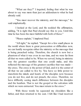"What are they?" I inquired, feeling that what he was about to say was more than just an addendum to what he had already said.

"You must recover the ministry, and the message," he said emphatically.

I looked at the Lord, and He nodded His affirmation, adding, "It is right that Paul should say this to you. Until this time he has been the most faithful with both of these."

"Please explain," I implored Paul.

"All right," he replied. "Except for a few small places in the world where there is great persecution or difficulties now, we can hardly recognize either the ministry or the message that is being preached today. Therefore, the church is now but a phantom of what it was even in our time, and we were far from all that we were called to be. When we served, being in ministry was the greatest sacrifice that one could make, and this reflected the message of the greatest sacrifice that was made the cross. The cross is the power of God, and it is the center of all that we are called to live by. You have so little power to transform the minds and hearts of the disciples now because you do not live, and do not preach, the cross. Therefore, we have difficulty seeing much difference between the disciples and the heathen. That is not the gospel or the salvation with which we were entrusted. You must return to the cross."

With those words he squeezed my shoulders like a father, and then returned to his seat. I felt like I had received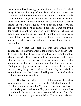both an incredible blessing and a profound rebuke. As I walked away I began thinking of the level of salvation on the mountain, and the treasures of salvation that I had seen inside the mountain. I began to see that most of my own decisions, even the decision to enter the door that led me here, was based mostly on what would get me further, not on a consideration for the will of the Lord. In all that I had done I was still living for myself, and not for Him. Even in my desire to embrace the judgments here, I was motivated by what would help me to make it back in victory without suffering loss. I was still walking much more in self-centeredness than Christ centeredness.

I knew that the short talk with Paul would have consequences that would take a long time to fully understand. In a way I felt that I had received a blessing from the entire, eternal church. The great cloud of witnesses really were cheering us on. They looked at us like proud parents who wanted better things for their children than they had known. Their greatest joy would be to see the church in the last days become everything that the church in their day had failed to attain. I also knew that I was still falling far short of what they had prepared for us to walk in.

"The last day church will not be greater than their generation, even if you do greater works, " the Lord interjected. 'All that is done is done by My grace. However, I will make more of My grace, and more of My power available to the last day church, because she must accomplish more than the church in any age has yet accomplished. The last day believers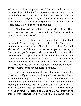will walk in all of the power that I demonstrated, and more, because they will be the final representatives of all who have gone before them. The last day church will demonstrate My nature and My ways as they have never been demonstrated before by men. It is because I amgiving you more grace, and to whom much is given much will be required. "

This just made me think even more about Paul. "How would we even become as dedicated and faithful as he had been?" I thought to myself.

"I am not asking you to attain that, " the Lord answered. "I am asking you to abide in Me. You cannot continue to measure yourself by others, even Paul. You will always fall short of the one you look to, but you are looking to Me you will go far beyond what you would have otherwise accomplished . As you yourself have taught, it was when the two on the road to Emmaus saw Me break the bread that their eyes were opened. When you read Paul's letters, or anyone's, you must hear Me. Only when you receive your bread directly fromMe will the eyes of your heart be opened.

"You can be distracted the most by those who are the most like Me if you do not see through them to see Me. There is also another trap for those who come to know more of My anointing and power than others. They are often distracted by looking at themselves. As I was saying before you talked to Paul, My servants must become blind so that they can see. I let you talk to him then because he is one of My best examples of this. It was because of My grace that I allowed him to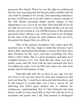persecute My church. When he saw My light he understood that his own reasoning had led him into direct conflict with the very truth he claimed to be serving. Your reasoning will always do that. It will lead you to do that which is exactly contrary to My will. Greater anointing brings greater danger of this happening to you, if you do not learn what Paul did. If you do not take up your cross every day, putting all that you are and all that you have before it, you will fall because of the authority and power that I will give you. Until you learn to do all things for the sake of the gospel, the more influence that you have, the greater the danger that you will be in.

"One of the greatest deceptions that comes upon My anointed ones is that they begin to think that because I give them a little supernatural knowledge or power, that their ways must therefore be My ways, and that everything that they think is what I think. This is a great deception, and many have stumbled because of it. You think like Me when you are in perfect union with Me. Even with the most anointed who have yet walked the earth, even for Paul, this union has only been partial, and for brief periods of time.

"Paul did walk with Me as close as any man ever has yet. Even so, he was also beset by fears and weaknesses that were not from Me. I could have delivered him from these, and he did request it several times, but I had a reason for not delivering him. Paul's great wisdom was to embrace his weaknesses, understanding that if I had delivered him from them I would not have been able to trust him with the level of revelation and power that I did. Paul learned to distinguish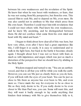between his own weaknesses and the revelation of the Spirit. He knew that when he was beset with weakness, or fears, that he was not seeing from My perspective, but fromhis own. This caused Him to seek Me, and to depend on Me, even more. He was also careful not to attribute to Me that which arose from His own heart. Therefore I could trust him with revelations that I could not trust others with. Paul knew his own weaknesses, and he knew My anointing, and he distinguished between them. He did not confuse what came from his own mind and heart with My mind and heart. "

I began to think about how clear all of this was here, but how very often, even after I have had a great experience like this, I still forget it so easily. It is easy to understand and to walk in the light here, but back in the battle it becomes cloudy again. I thought about how I was not so beset with fears as much as with impatience, and anger, which was just as much a distortion of the perspective that we should have by abiding in the Holy Spirit.

Wisdomstopped and turned to me. "You are an earthen vessel, and that is all that you will be while you walk the earth. However, you can see Me just as clearly there as you do here. if you will look with the eyes of your heart. You can be just as close to Me there as anyone has ever been to Me, and even more so. I have made the way for everyone to be as close to Me as they truly desire to be. If you really desire to be even closer to Me than Paul was, you can. Some will want this, and they will want it badly enough to lay aside anything that hinders their intimacy with Me to give themselves fully to it,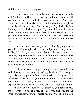and they will have what they seek.

"If it is your quest to walk there just as you can walk with Me here. I will be just as close to you there as I am now. If you seek Me you will find Me. If you draw near to Me, I will draw near to you. It is My desire to set a table for you right in the midst of your enemies. This is not just My desire for My leaders, but for all who call upon My name. I want to be much closer to you, and to everyone who calls upon Me, than I have yet been able to be with anyone who has lived. You determine how close we will be, not I. I will be found by those who seek Me.

"You are here because you asked for My judgment in your If e. You sought Me as the Judge and now you are finding Me. But you must not think that because you have seen My judgment seat that now all of your judgments will be My judgments. You will only have My judgments as you walk in unity with Me, and seek the anointing of My Spirit. This can be gained or lost every day.

"I have let you see angels, and given you many dreams and visions, because you kept asking for them. I love to give My children the good gifts that they ask for. For years you asked Me for wisdom, so you are receiving it. You have asked for Me to judge you, so you are receiving it. But these experiences do not make you fully wise, or a righteous judge. You will only have wisdom and judgment as you abide in Me. Do not ever stop seeking Me. The more you truly mature the more you will know your desperate need for Me. The more you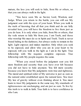mature, the less you will seek to hide, from Me or others, so that you can always walk in the light.

"You have seen Me as Savior, Lord, Wisdom, and Judge. When you return to the battle, you can still see My judgment seat with the eyes of your heart. When you walk in the truth of knowing that all that you think and do are fully revealed here, you will have the freedom to live there just as you do here. It is only when you hide, from Me or others, that the veils return to hide Me from you. I am Truth, and those who worship Me must do so in Spirit and Truth. Truth is never found hiding in the darkness, but always seeks to remain in the light. Light exposes and makes manifest. Only when you seek to be exposed, and allow who you are in your heart to be exposed, will you walk in the light as I am in the light. True fellowship with Me requires complete exposure. True fellowship with My people requires the same.

"When you stood before the judgment seat you felt more freedom and security than you have ever felt because you did not have to hide anymore. You felt more security because you knew that My judgments were true and righteous. The moral and spiritual order of My universe is just as sure as the natural order established upon the natural laws. You trust My law of gravity without even thinking about it. You must learn to trust My judgments in the same way. My standards of righteousness are unchanging, and are just as sure. To live by this truth is to walk in faith. True faith is to have confidence in who I am.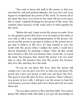"You seek to know and walk in My power so that you can heal the sick and perform miracles, but you have not even begun to comprehend the power of My word. To restore all of the dead who have ever lived on the earth will not even cause Me to strain. I uphold all things by the power of My word. The creation exists because of My word, and it is held together by My word.

"Before the end, I must reveal My power on earth. Even so, the greatest power that I have ever revealed on the earth, or ever will, is still a very small demonstration of My power. I do not reveal My power to get men to believe in My power, but to get men to believe in My love. If I had wanted to save the world with My power when I walked the earth, I could have moved mountains by pointing a finger. Then all men would have bowed to Me, but not because they toyed Me, or toyed the truth, but because they feared My power. I do not want men to obey Me because they fear My power, but because they love Me, and they love the truth.

"If you do not know My love, then My power will corrupt you. I do not give you love so that you can know My power, but I give you power so that you can know My love. The goal of your life must be love, not power. Then I will give you power to love with. I will give you the power to heat the sick because you love them, and I love them, and I do not want themsick.

"So you must seek love first, and then faith. You cannot please Me without faith. But faith is not just the knowledge of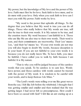My power, but the knowledge of My love and the power of My love. Faith must first be for love. Seek faith to love more, and to do more with your love. Only when you seek faith to love can I trust you with My power. Faith works by love.

"My word is the power that upholds all things. To the degree that you believe that My word is true you can do all things. Those who really believe that My words are true, will also be true to their own words. It is My nature to be true, and the creation trusts My word because I am faithful to it. Those who are like Me are also true to their own words. Their word is sure, and their commitments are trustworthy. Their 'yes' means 'yes, ' and their 'no' means 'no. ' If your own words are not true you will also begin to doubt My words, because deception is in your heart. If you are not faithful to your own words it is because you do not really know Me. To have faith, you must be faithful. I have called you to walk by faith because I am faithful. It is My nature.

"That is why you will be judged because of the careless words that you speak. To be careless is to care less. Words have power, and those careless with words cannot be trusted with the power of My word. It is wisdom to be careful with your words, and to keep themas I do Mine. "

"The Lord's words were rolling over me like great waves fromthe sea. I felt like Job before the whirlwind. I thought that I was getting smaller and smaller and then realized that He was getting larger. I had never felt so presumptuous. How could I have been so casual with God? I felt like an ant staring up at a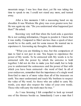mountain range. I was less than dust, yet He was taking the time to speak to me. I could not stand any more, and turned away.

After a few moments I felt a reassuring hand on my shoulder. It was Wisdom. His glory was even greater now, but He was again my size. "Do you understand what happened just then?" He asked.

Knowing very well that when the Lord asks a question He is not seeking information, I began to ponder it. I knew that it was reality. Compared to Him I am less than a speck of dust would be to the earth, and for some reason He wanted me to experience it. Answering my thoughts, He elaborated.

"What you are thinking is true, but this comparison of man to God is not just in size. You began to experience the power of My words. To be entrusted with My words is to be entrusted with the power by which the universe is held together. I did not do this to make you feel small, but to help you to understand the seriousness and the power of that with which you have been entrusted—the word of God. In all of your endeavors, remember that the importance of a single word from God to man is of more value than all of the treasures on earth. You must understand and teach My brethren to respect the value of My word. As those who are called to carry My words, you must also respect the value of your own words. Those who will carry the truth must be true. "

As I was listening I felt compelled to look up toward one of the thrones beside us. Immediately I saw a man that I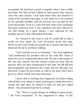recognized. He had been a great evangelist when I was a child, and many felt that he had walked in more power than anyone since the early church. I had read about him, and listened to some of his recorded messages. It was hard not to be touched by his genuine humility, and the obvious love he had for the Lord and people. Even so, I also felt that some of his teachings had gone seriously awry. I was surprised, but also relieved to see him sitting on a great throne. I was captured by the humility and love that still exuded fromhim.

As I turned to the Lord to ask if I could talk to him, I could see how much the Lord obviously loved this man. However, the Lord would not permit me to speak with him, but motioned for me to continue walking.

"I just wanted you to see himhere, " the Lord explained, "and understand the position that he has with Me. There is much for you to understand about him. He was a messenger to My last day church, but the church could not hear him for reasons that you must understand in due time. He did fall into discouragement and delusion for a time, and his message was distorted. It must be recovered, as well as the parts that I have given to others which were also distorted. "

I knew that everything here happened in perfect timing with all that I was meant to learn, and began to think about how seeing this man must be related to what we had just talked about—the potential of power to corrupt.

"Yes. There is a great danger in walking in great power, the Lord responded. "It has happened to many of My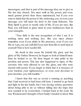messengers, and that is part of the message they are to give to My last day church. You must walk in My power, and even much greater power than these experienced, but if you ever start to think that the power is My endorsing you, or even your message, you will open the door to the same delusion. The Holy Spirit is given to testify only of Me. If you are wise, like Paul, you will learn to glory more in your weaknesses than in your strengths.

"True faith is the true recognition of who I am. It is nothing more and nothing less. But you must always remember, even if you abide in My presence, even if you see Me as I am, you can still fall if you turn from Me to look back at yourself That is how Lucifer fell.

He dwelt in this room. He beheld My glory and the glory of My Father. However, he began to look at himself more than he looked to us. He then began to take pride in his position and power. This has also happened to many of My servants who were allowed to see My glory, and who were trusted with power. If you begin to think that it is because of your wisdom, your righteousness, or even your devotion to pure doctrine, you willstumble. "

I knew that this was as severe a warning as anything that I had received or had been told here. I wanted to go back and fight in the last battle, but I was having serious questions about being able to do so without falling into the traps that now seemed to be everywhere. I looked back at the Lord. He was Wisdomand I thought of how badly I needed to know Him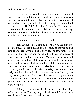as Wisdomwhen I returned.

"It is good for you to lose confidence in yourself I cannot trust you with the powers of the age to come until you do. The more confidence you lose in yourself the more power I will be able to trust you with, if I waited a long time for the Lord to continue, but He didn't. Somehow I knew that He wanted me to continue the sentence, but I did not know what to say. However, the more I looked at Him the more confidence I felt. Finally I did know what to say.

"If I put my confidence in you," I added.

"Yes. You must have faith to do what you are called to do, but it must be faith in Me. It is not enough for you to just lose confidence in yourself That only leads to insecurity if you do not fill the void with confidence in Me. That is how many of these men fell to their delusions. Many of these men and women were prophets. But some of them, out of insecurity, would not let men call them prophets. But that was not the truth because they were. False humility is also a deception. If the enemy could deceive them into thinking that they were not really prophets, he could also deceive them into thinking that they were greater prophets than they were just by nurturing their self-confidence. False humility will not cast out pride. It is just another form of self-centeredness, which the enemy has a right to exploit.

"All of your failures will be the result of one this thing, self-centeredness. The only way to be delivered from this is to walk in love. Love does not seek its own. "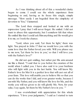As I was thinking about all of this a wonderful clarity began to come. I could see the whole experience from beginning to end, having as its focus this single, simple message. "How easily I am beguiled from the simplicity of devotion to You," I lamented.

The Lord then stopped and looked at me with an expression I pray that I will never forget. He smiled. I did not want to abuse this opportunity, but I somehow felt that when He smiled like that I could ask Himanything and He would give it to me, so I took the chance.

"Lord, when you said, 'Let there be light,' there was light. You prayed in John 17 that we would love you with the same love that the Father loved you with. Will you please say to me now, 'Let there be love in you,' so that I will love you with the Father's love?"

He did not quit smiling, but rather put His arm around me like a friend. "I said that to you before the creation of the world when I called you. I have also said it to your brethren who will fight with you in the last battle. You will know My Father's love for Met It is a perfect love that will cast out all of your fears. This love will enable you to believe Me so that you can do the works that I did, and even greater works, because I am with My Father, and you will know His love for Me, and the works you will tee given to do will glorify Me. Now, for your sake, I say again, 'let there be My Father's love in you.'"

I was overwhelmed with appreciation for this whole experience. "I love your judgments," I said as I started to turn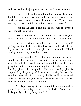and look back at the judgment seat, but the Lord stopped me.

"Don't took back. I am not there for you now; I am here. I will lead you from this room and back to your place in the battle, but you must not took back. You must see My judgment seat in your own heart, because that is where it is now. "

"Just like the Garden, and like the treasures of salvation . . ." I thought to myself.

"Yes. Everything that I am doing, I am doing in your heart. That is where the living waters flow. That is where I am. "

He then gestured toward me, so I looked at myself, pulling back the cloak of humility. I was stunned by what I saw. My armor contained the same glory that surrounded Him. I quickly covered it again with my cloak.

"I also prayed to My Father on the night before My crucifixion, that the glory I had with Him in the beginning would be with My people, so that you will be one. It is My glory that unifies. As you come together with others who love Me, My glory will be magnified. The more that My glory is magnified by the joining of those who love Me, the more the world will know that I was sent by the Father. Now the world really will know that you are My disciples because you will love Me, and you will love each other. "

As I kept looking at Him, my confidence continued to grow. It was like being washed on the inside. Soon I was feeling ready to do anything He asked.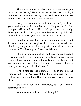"There is still someone who you must meet before you return to the battle," He said as we walked. As we did, I continued to be astonished by how much more glorious He had become than even a few minutes before.

"Every time you see Me with the eyes of your heart, your mind is renewed a little bit more, " He proceeded. "One day you will be able to abide in My presence continually. When you do that all that, you have learned by My Spirit will be readily available to you, and I will be available to you. "

I could hear everything He said, and understood it, but I was so captured by His glory that I Just had to ask Him, "Lord, why are you so much more glorious now than the other times when You first appeared to me as Wisdom?"

"I have never changed, but you have. You are changed as you behold My glory with an unveiled face. The experiences that you have had are removing the veils fromyour face so that you can see Me more clearly, but nothing removes them as quickly as when you behold My love. "

He then stopped and I turned to look at those in the thrones next to us. We were still in the place where the very highest kings were sitting. Then I recognized a man who was close by.

"Sir, I know you from somewhere, but I Just cannot remember where."

"You once saw me in a vision," he replied.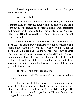I immediately remembered, and was shocked! "So you were a real person?"

"Yes," he replied.

I then began to remember the day when, as a young Christian I had become frustrated with some issues in my life. I went out into the middle of a battlefield park near my apartment and determined to wait until the Lord spoke to me. As I sat reading my Bible I was caught up into a vision, one of the first that I ever had.

In the vision I saw a man who was zealously serving the Lord. He was continually witnessing to people, teaching, and visiting the sick to pray for them. He was very zealous for the Lord, and had a genuine love for people. Then I saw another man who was obviously a tramp or a homeless man. A small kitten wandered into his path and he started to kick it, but restrained himself, but still shoved it rather harshly out of the way with his foot. Then the Lord asked me which of these men pleased Himthe most.

"The first," I said without hesitating.

"No, the second," He responded, and began to tell me their stories.

The first man had been raised in a wonderful family, which had always known the Lord. He grew up in a thriving church, and then attended one of the best Bible colleges. He had been given one hundred portions of His love, but he was using only seventy-five.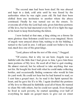The second man had been born deaf. He was abused and kept in a dark, cold attic until he was found by the authorities when he was eight years old. He had then been shifted from one institution to another where the abuse continued. Finally he was turned out on the streets. To overcome all of this the Lord had only given him three portions of His love, but he had mustered every bit of it to fight the rage in his heart to keep fromhurting the kitten.

I now looked at that man, a king sitting on a throne far more glorious than Solomon could have even imagined. Hosts of angels were arrayed about him, waiting to do his bidding. I turned to the Lord in awe. I still just could not believe he was real, much less one of the great kings.

"Lord, please tell me the rest of His story," I begged.

"Of course, that is why we are here. Angelo was so faithful with the little that I had given to him, I gave him three more portions of My love. He used all of that to quit stealing. He almost starved, but he refused to take anything that was not his. He bought his food with what he could make collecting bottles, and occasionally finding someone who would let him do yard work. He could not hear but he had learned to read, so I sent him a gospel tract. As he read it the Spirit opened his heart, and he gave his If e to Me. I again doubled the portions of My love to Himand he faithfully used all of them. He wanted to share Me with others, but he could not speak. Even though he lived in such poverty, he started spending over half of everything he made on gospel tracts to give out on street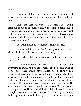corners. "

"How many did he lead to you?" I asked, thinking that it must have been multitudes for him to be sitting with the kings.

"One," the Lord answered. "I let him lead a dying alcoholic to Me to encourage him. It encouraged him so much he would have stood on that corner for many more years just to bring another soul to repentance. But all of heaven was entreating Me to bring him here, and I, too, wanted him to receive his reward. "

"But what did he do to become a king?" I asked.

"He was faithful with all that he was given, he overcame all until he became like me, and he died a martyr. "

"But what did he overcome, and how was he martyred?"

"He overcame the world with My love. Very few have overcome so much with so little. Many of My people dwell in homes that kings would have envied just a century ago because of their conveniences, but do not appreciate them, while Angelo would so appreciate a cardboard box on a cold night that he would turn it into a glorious temple of My presence. He began to love everyone and everything. He would rejoice more over an apple than some of My people do over a great feast. He was faithful with all that I gave him, even though it was not very much compared to what I gave others, including you. I showed him to you in a vision because you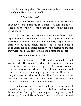passed by him many times. You even once pointed him out to one of your friends and spoke of him. "

"I did? What did I say?"

"You said, 'There is another one of those Elijah's who must have escaped from the bus station.' You said that he was 'a religious nut' who was sent by the enemy to turn people off to the gospel. "

This was the worst blow that I had yet suffered in this experience. I was more than shocked, I was appalled. I tried to remember the specific incident, but couldn't, simply because there were so many others like it. I had never had much compassion for filthy street preachers who seemed to me that they were specifically sent to turn people off to the gospel.

"I'msorry Lord. I'mreally sorry."

'And you are forgiven, " He quickly responded. 'And you are right. There are many who try to preach the gospel on the streets for wrong, and even perverted reasons. Even so, there are many who are sincere, even if they are untrained and unlearned. You must not judge by appearances. There are as many true servants who look like he did as there are among the polished professionals in the great cathedrals and organizations that men have built in My Name. "

He then motioned for me to look up at Angelo. When I turned he had descended the steps to his throne and was right in front of me. Opening his arms he gave me a great hug, and kissed my forehead like a father. Love poured over me and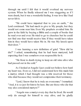through me until I felt that it would overload my nervous system. When he finally released me I was staggering as if I were drunk, but it was a wonderful feeling. It was love like I had never felt it.

"He could have imparted that to you on earth, " the Lord continued. "He had much to give to My people, but they would not come near him. Even My prophets avoided him. He grew in the faith by buying a Bible and a couple of books that he read over and over. He tried to go to churches but he could not find one that would receive him. If they would have taken him in they would have taken Me in. He was My knock upon their door. "

I was learning a new definition of grief. "How did he die?" I asked, remembering that he had been martyred, half expecting that I was somehow even responsible for it.

"He froze to death trying to keep an old wino alive who had passed out in the cold."

As I looked at Angelo I just could not believe how hard my heart was. Even so, I did not understand how this made him a martyr, which I had thought was a title reserved for those who died because they would not compromise their testimony.

"Lord, I know that he is truly an overcomer," I remarked. "And, it is so just for himto be here. But are those who die that way also considered martyrs?"

"Angelo was a martyr every day that he lived. He would only do enough for himself to stay alive, and he gladly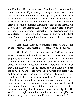sacrificed his life to save a needy friend. As Paul wrote to the Corinthians, even if you give your body to be burned, but do not have love, it counts as nothing. But, when you give yourself with love, it counts for much. Angelo died every day because he did not live for himself; but for others. While on earth he always considered himself the least of the saints, but he was one of the greatest. As you have already learned, many of those who consider themselves the greatest, and are considered by others to be the greatest, end up being the least here. Angelo did not die for a doctrine, or even his testimony, but he did die for Me. "

"Lord, please help me to remember this. Please do not let me forget what I amseeing here when I return," I begged.

"That is why I am with you here, and I will be with you when you return. Wisdom is to see with My eyes, and not to judge by appearances. I showed you Angelo in the vision so that you would recognize him when you passed him on the street. If you had shared with him the knowledge of his past that I had shown you in the vision, he would have given his life to me then. You could have then discipled this great king, and he would have had a great impact on My church. If My people would look at others the way I do, Angelo and many others like him, would have been recognized. They would have been paraded into the greatest pulpits, and My people would have come from the ends of the earth to sit at their feet. because by doing this they would have sat at My feet. He would have taught you to love, and how to invest the gifts that I have given you so that you could bear much more fruit. "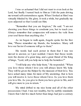I was so ashamed that I did not want to even look at the Lord, but finally I turned back to Him as I felt the pain driving me toward self-centeredness again. When I looked at HimI was virtually blinded by His glory. It took a while, but gradually my eyes adjusted so that I could see Him.

"Remember that you are forgiven," He said. "I am not showing you these things to condemn you, but to teach you. Always remember that compassion will remove the veils from your soul faster than anything else. "

As we began to walk again, Angelo spoke for the first time, "Please remember my friends, the homeless. Many will love our Savior if someone will go to them."

His words had such power in them that I was too moved to answer, so I just nodded. I knew that those words were the decree of a great king, and a great friend of the King of kings. "Lord, will you help me to help the homeless?"

"I will help any who help them, " He responded. "When you love those whom I love you will always know My help. They will be given the Helper by the measure of their love. You have asked many times for more of My anointing; that is how you will receive it. Love those whom I love. As you love them you love Me. As you give to themyou have given to Me, and I will give more to you in return. "

My mind drifted to my nice home and all of the other possessions I had. I was not wealthy, but by earthly standards I knew that I did live much better than kings had just a century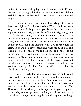before. I had never felt guilty about it before, but I did now. Somehow it was a good feeling, but at the same time it did not feel right. Again I looked back to the Lord as I knew He would help me.

"Remember what I said about how My perfect law of love made light and darkness distinct. When confusion such as you are now feeling comes, you know that what you are experiencing is not My perfect law of love. I delight in giving My family good gifts, just as you do yours. I want you to enjoy them, and appreciate them. Only you must not worship them, and you must freely share them when I call you to. I could wave My hand and instantly remove all poverty from the earth. There will be a day of reckoning when the mountains and high places are brought down, and the poor and oppressed are raised up, but I must do it. Human compassion is just as contrary to Me as human oppression. Human compassion is used as a substitute for the power of My cross. I have not called you to sacrifice, but to obey. Sometimes you will have to sacrifice to obey Me, but if your sacrifice is not done in obedience, it willseparate us.

"You are guilty for the way you misjudged and treated this great king when he was My servant on earth. Do not judge anyone without inquiring of Me. You have missed more encounters that I have set up for you than you have ever imagined, simply because you were not sensitive to Me. However, I did not show you this to just make you feel guilty, but to bring you to repentance so that you will not continue to miss them. If you just react in guilt you will begin to do things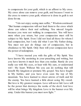to compensate for your guilt, which is an affront to My cross. My cross alone can remove your guilt, and because I went to the cross to remove your guilt, whatever is done in guilt is not done for me.

"I do not enjoy seeing men suffer, " Wisdomcontinued. "But human compassion will not lead them to the cross which alone can relieve their real suffering. You missed Angelo because you were not walking in compassion. You will have more when you return, but your compassion must still be subject to My Spirit. Even I did not heal all those for whom I had compassion, but I only did what I saw My Father doing. You must not just do things out of compassion, but in obedience to My Spirit. Only then will your compassion have the power of redemption.

"I have trusted you with the gifts of My Spirit. You have known My anointing in your preaching and writing, but you have known it much less than you realize. Rarely do you really see with My eyes, or hear with My ears, or understand wit $1~$  My heart. Without Me you can do nothing that will benefit My kingdom or promote My gospel. You have fought in My battles, and you have even seen the top of My mountain. You have learned to shoot arrows of truth and hit the enemy. You have learned a little about using My sword. But love is My greatest weapon. Love will never fail. Love will be the power that destroys the works of the devil. And love will be what brings My kingdom. Love is the banner over My army. Under this banner you must now fight. "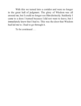With this we turned into a corridor and were no longer in the great hall of judgment. The glory of Wisdom was all around me, but I could no longer see Himdistinctly. Suddenly I came to a door. I turned because I did not want to leave, but I immediately knew that I had to. This was the door that Wisdom had led me to. I had to go through it.

To be continued . . .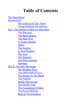## **Table of Contents**

The Final Quest **Introduction** How I Received The Vision Using Prophetic Revelations Part I, The Hordes of Hell Are Marching The Prisoners The Battle Begins The High Way A Tragic Mistake **Safety** The Anchor A New Weapon The Trap The Serpents The King Appears **Summary** Part II, The Holy Mountain His Dwelling Place The Other Half Of Love The Return To The Battle The Faithful Reality Discovered The Deadly Trap The Foundation Of Glory The Power Of Pride Rank In The Kingdom